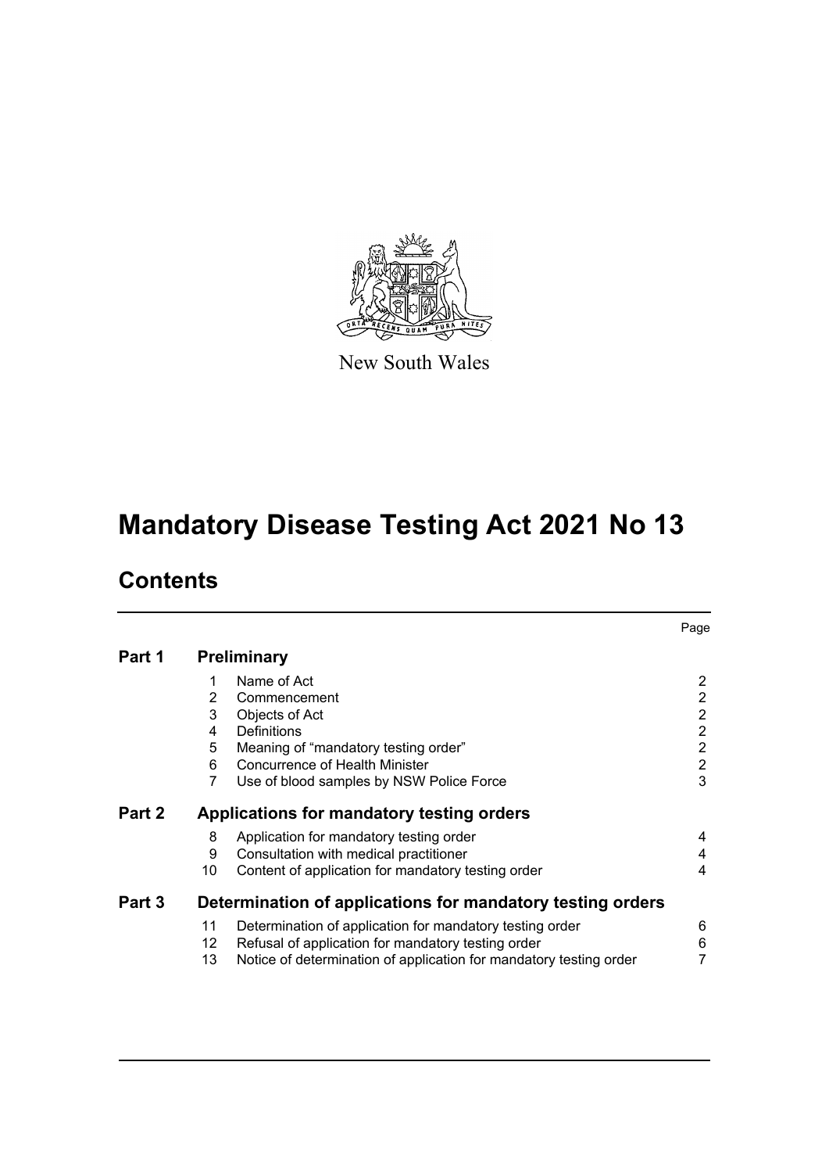

New South Wales

# **Mandatory Disease Testing Act 2021 No 13**

# **Contents**

|        |                                                            |                                                                    | Page           |  |  |
|--------|------------------------------------------------------------|--------------------------------------------------------------------|----------------|--|--|
| Part 1 | <b>Preliminary</b>                                         |                                                                    |                |  |  |
|        | 1                                                          | Name of Act                                                        | 2              |  |  |
|        | $\overline{2}$                                             | Commencement                                                       | $\overline{2}$ |  |  |
|        | 3                                                          | Objects of Act                                                     | $\overline{2}$ |  |  |
|        | 4                                                          | Definitions                                                        | 2              |  |  |
|        | 5                                                          | Meaning of "mandatory testing order"                               | $\overline{2}$ |  |  |
|        | 6                                                          | <b>Concurrence of Health Minister</b>                              | $\overline{2}$ |  |  |
|        | 7                                                          | Use of blood samples by NSW Police Force                           | 3              |  |  |
| Part 2 | Applications for mandatory testing orders                  |                                                                    |                |  |  |
|        | 8                                                          | Application for mandatory testing order                            | 4              |  |  |
|        | 9                                                          | Consultation with medical practitioner                             | 4              |  |  |
|        | 10                                                         | Content of application for mandatory testing order                 | 4              |  |  |
| Part 3 | Determination of applications for mandatory testing orders |                                                                    |                |  |  |
|        | 11                                                         | Determination of application for mandatory testing order           | 6              |  |  |
|        | 12                                                         | Refusal of application for mandatory testing order                 | 6              |  |  |
|        | 13                                                         | Notice of determination of application for mandatory testing order | 7              |  |  |
|        |                                                            |                                                                    |                |  |  |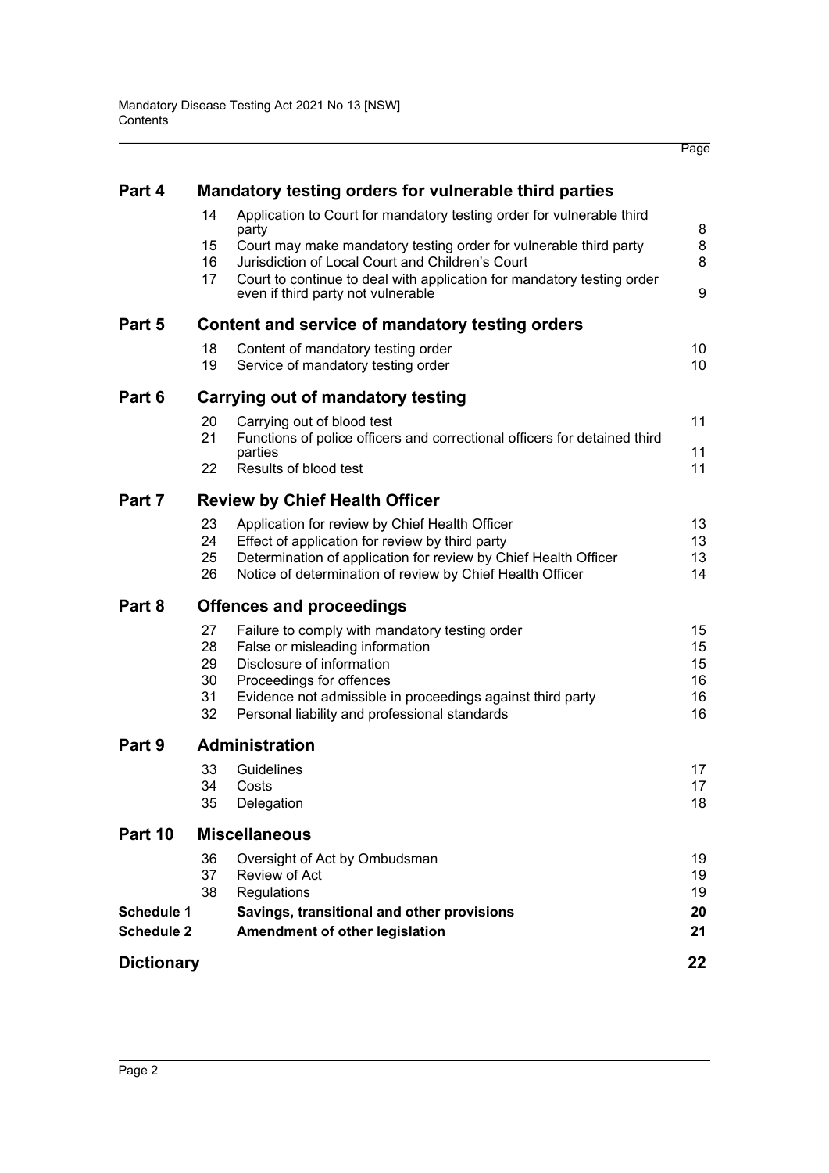| Part 4                                 |                                                 | Mandatory testing orders for vulnerable third parties                                                                                                                                                                                                                                                                   |                                  |  |  |  |
|----------------------------------------|-------------------------------------------------|-------------------------------------------------------------------------------------------------------------------------------------------------------------------------------------------------------------------------------------------------------------------------------------------------------------------------|----------------------------------|--|--|--|
|                                        | 14<br>15<br>16<br>17                            | Application to Court for mandatory testing order for vulnerable third<br>party<br>Court may make mandatory testing order for vulnerable third party<br>Jurisdiction of Local Court and Children's Court<br>Court to continue to deal with application for mandatory testing order<br>even if third party not vulnerable | 8<br>8<br>8<br>9                 |  |  |  |
| Part 5                                 | Content and service of mandatory testing orders |                                                                                                                                                                                                                                                                                                                         |                                  |  |  |  |
|                                        | 18<br>19                                        | Content of mandatory testing order<br>Service of mandatory testing order                                                                                                                                                                                                                                                | 10<br>10                         |  |  |  |
| Part 6                                 | Carrying out of mandatory testing               |                                                                                                                                                                                                                                                                                                                         |                                  |  |  |  |
|                                        | 20<br>21<br>22                                  | Carrying out of blood test<br>Functions of police officers and correctional officers for detained third<br>parties<br>Results of blood test                                                                                                                                                                             | 11<br>11<br>11                   |  |  |  |
| Part 7                                 | <b>Review by Chief Health Officer</b>           |                                                                                                                                                                                                                                                                                                                         |                                  |  |  |  |
|                                        | 23<br>24<br>25<br>26                            | Application for review by Chief Health Officer<br>Effect of application for review by third party<br>Determination of application for review by Chief Health Officer<br>Notice of determination of review by Chief Health Officer                                                                                       | 13<br>13<br>13<br>14             |  |  |  |
| Part 8                                 | <b>Offences and proceedings</b>                 |                                                                                                                                                                                                                                                                                                                         |                                  |  |  |  |
|                                        | 27<br>28<br>29<br>30<br>31<br>32                | Failure to comply with mandatory testing order<br>False or misleading information<br>Disclosure of information<br>Proceedings for offences<br>Evidence not admissible in proceedings against third party<br>Personal liability and professional standards                                                               | 15<br>15<br>15<br>16<br>16<br>16 |  |  |  |
| Part 9                                 |                                                 | <b>Administration</b>                                                                                                                                                                                                                                                                                                   |                                  |  |  |  |
|                                        | 33<br>35                                        | Guidelines<br>34 Costs<br>Delegation                                                                                                                                                                                                                                                                                    | 17<br>17<br>18                   |  |  |  |
| Part 10                                | <b>Miscellaneous</b>                            |                                                                                                                                                                                                                                                                                                                         |                                  |  |  |  |
| <b>Schedule 1</b><br><b>Schedule 2</b> | 36<br>37<br>38                                  | Oversight of Act by Ombudsman<br>Review of Act<br>Regulations<br>Savings, transitional and other provisions<br>Amendment of other legislation                                                                                                                                                                           | 19<br>19<br>19<br>20<br>21       |  |  |  |
| <b>Dictionary</b>                      |                                                 |                                                                                                                                                                                                                                                                                                                         | 22                               |  |  |  |
|                                        |                                                 |                                                                                                                                                                                                                                                                                                                         |                                  |  |  |  |

Page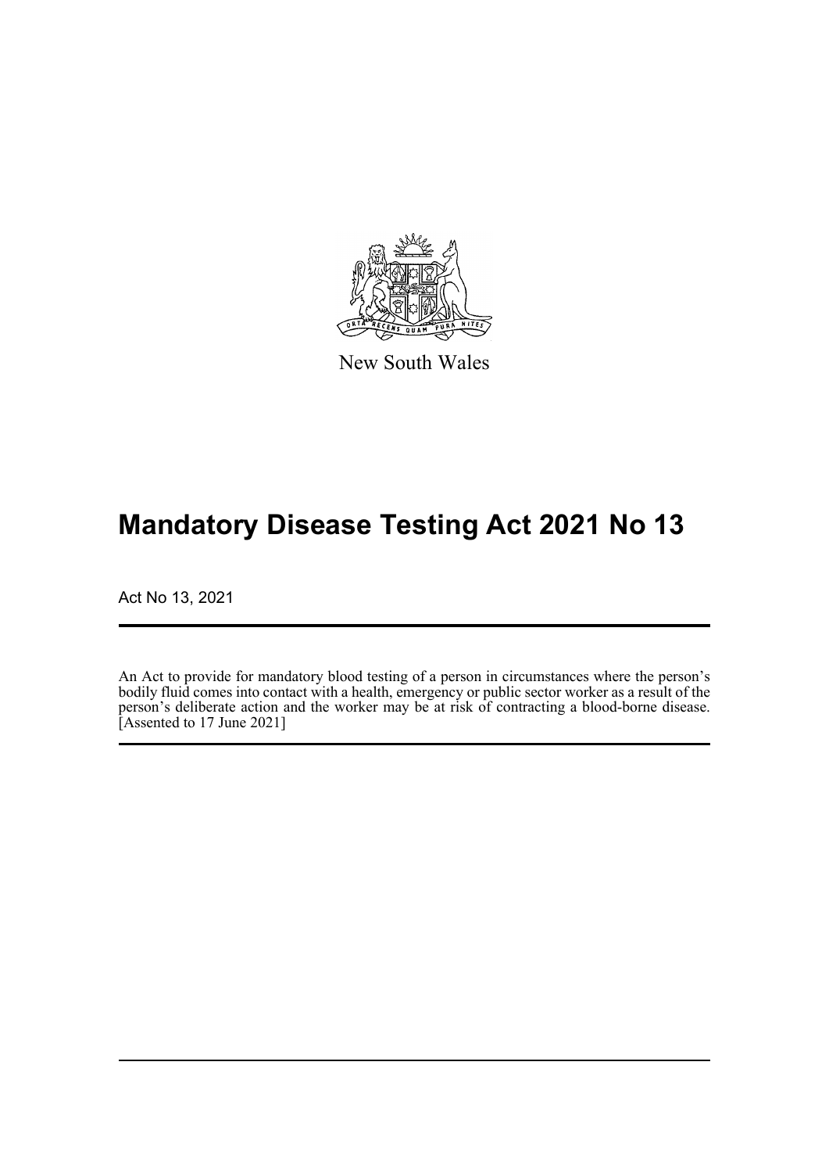

New South Wales

# **Mandatory Disease Testing Act 2021 No 13**

Act No 13, 2021

An Act to provide for mandatory blood testing of a person in circumstances where the person's bodily fluid comes into contact with a health, emergency or public sector worker as a result of the person's deliberate action and the worker may be at risk of contracting a blood-borne disease. [Assented to 17 June 2021]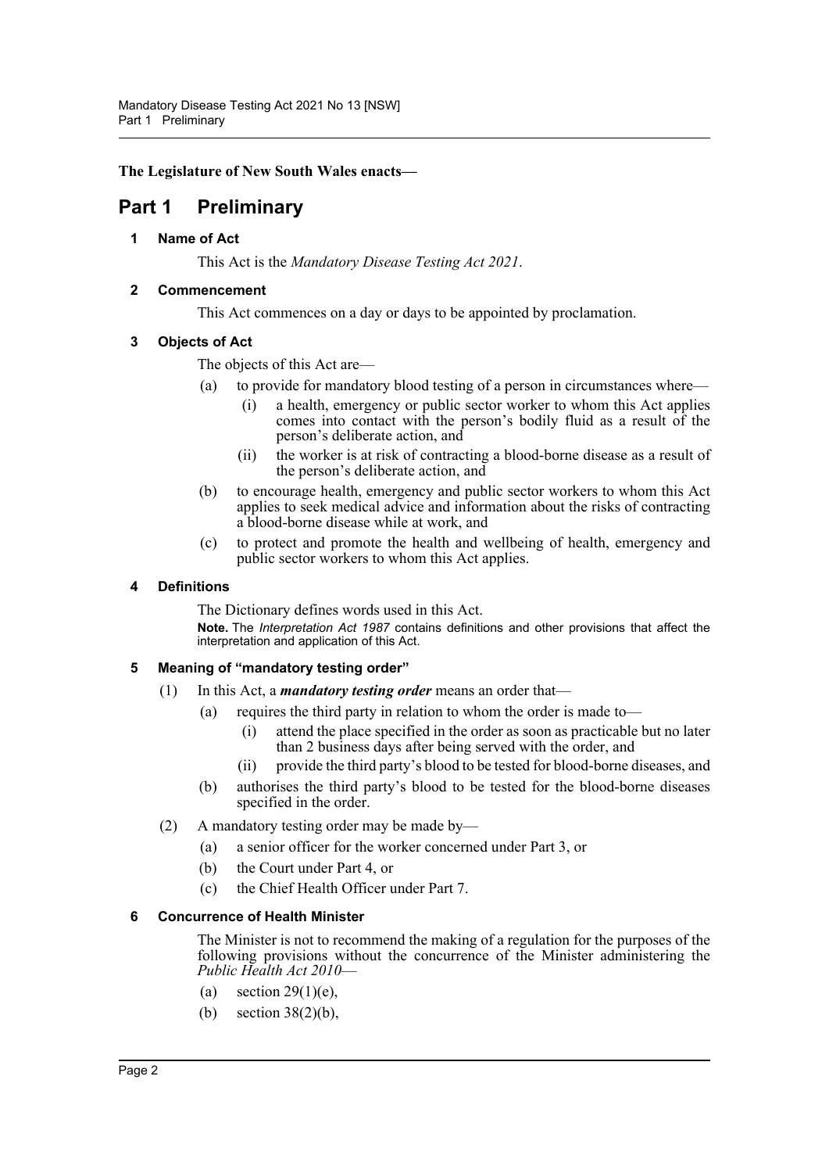**The Legislature of New South Wales enacts—**

### <span id="page-3-1"></span><span id="page-3-0"></span>**Part 1 Preliminary**

**1 Name of Act**

This Act is the *Mandatory Disease Testing Act 2021*.

#### <span id="page-3-2"></span>**2 Commencement**

This Act commences on a day or days to be appointed by proclamation.

#### <span id="page-3-3"></span>**3 Objects of Act**

The objects of this Act are—

- (a) to provide for mandatory blood testing of a person in circumstances where—
	- (i) a health, emergency or public sector worker to whom this Act applies comes into contact with the person's bodily fluid as a result of the person's deliberate action, and
	- (ii) the worker is at risk of contracting a blood-borne disease as a result of the person's deliberate action, and
- (b) to encourage health, emergency and public sector workers to whom this Act applies to seek medical advice and information about the risks of contracting a blood-borne disease while at work, and
- (c) to protect and promote the health and wellbeing of health, emergency and public sector workers to whom this Act applies.

#### <span id="page-3-4"></span>**4 Definitions**

The Dictionary defines words used in this Act. **Note.** The *Interpretation Act 1987* contains definitions and other provisions that affect the interpretation and application of this Act.

#### <span id="page-3-5"></span>**5 Meaning of "mandatory testing order"**

- (1) In this Act, a *mandatory testing order* means an order that—
	- (a) requires the third party in relation to whom the order is made to—
		- (i) attend the place specified in the order as soon as practicable but no later than 2 business days after being served with the order, and
		- (ii) provide the third party's blood to be tested for blood-borne diseases, and
	- (b) authorises the third party's blood to be tested for the blood-borne diseases specified in the order.
- (2) A mandatory testing order may be made by—
	- (a) a senior officer for the worker concerned under Part 3, or
	- (b) the Court under Part 4, or
	- (c) the Chief Health Officer under Part 7.

#### <span id="page-3-6"></span>**6 Concurrence of Health Minister**

The Minister is not to recommend the making of a regulation for the purposes of the following provisions without the concurrence of the Minister administering the *Public Health Act 2010*—

- (a) section  $29(1)(e)$ ,
- (b) section 38(2)(b),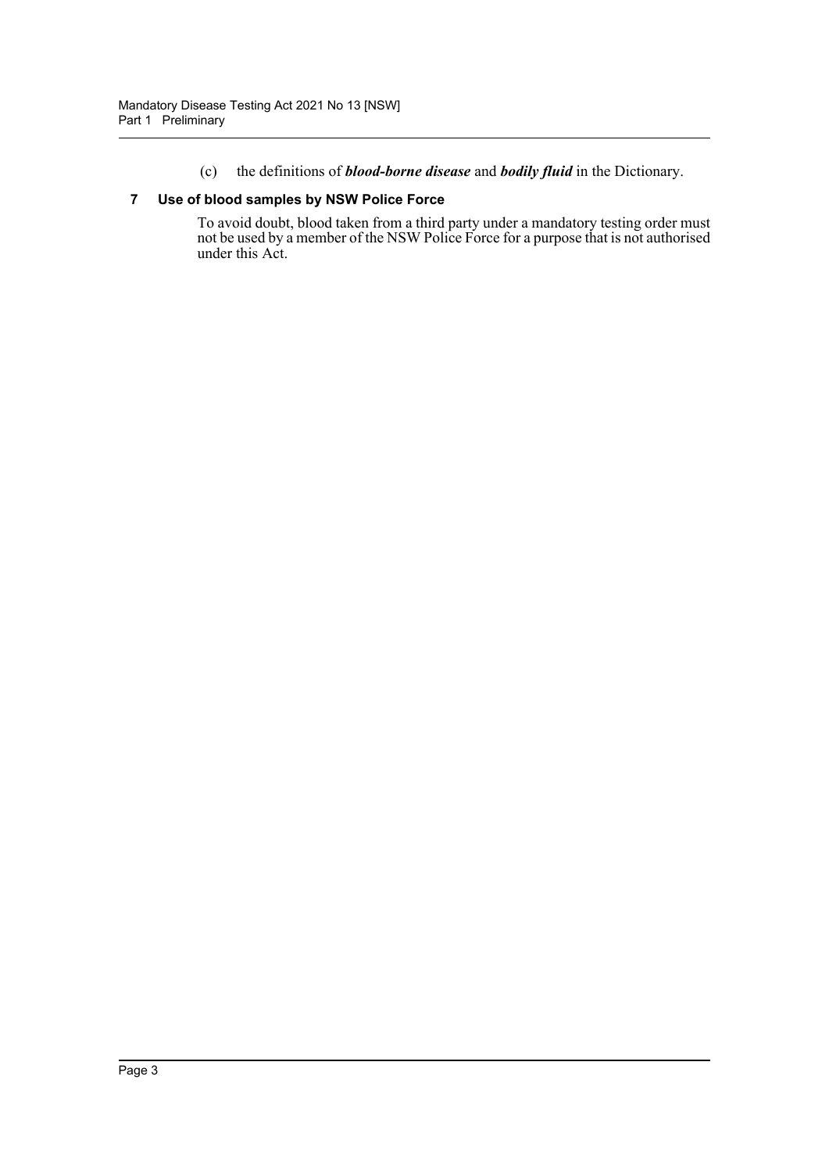(c) the definitions of *blood-borne disease* and *bodily fluid* in the Dictionary.

#### <span id="page-4-0"></span>**7 Use of blood samples by NSW Police Force**

To avoid doubt, blood taken from a third party under a mandatory testing order must not be used by a member of the NSW Police Force for a purpose that is not authorised under this Act.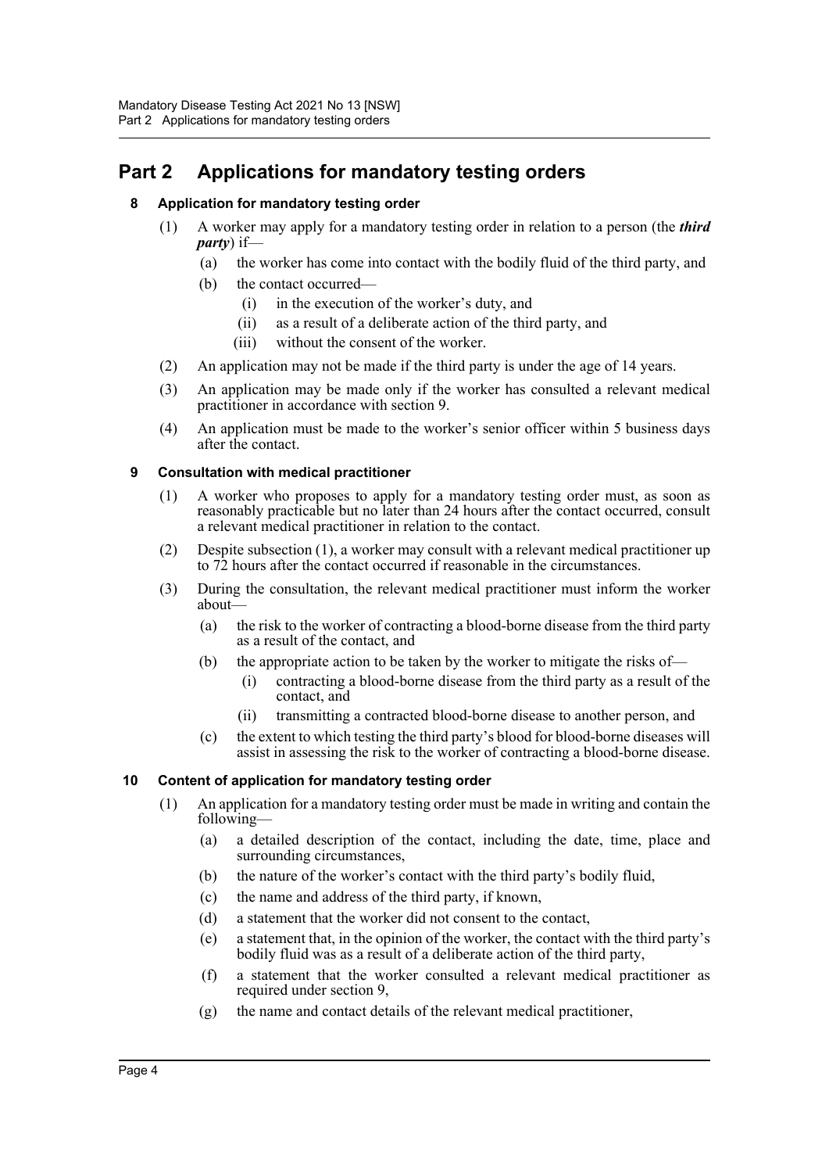## <span id="page-5-1"></span><span id="page-5-0"></span>**Part 2 Applications for mandatory testing orders**

#### **8 Application for mandatory testing order**

- (1) A worker may apply for a mandatory testing order in relation to a person (the *third party*) if—
	- (a) the worker has come into contact with the bodily fluid of the third party, and
	- (b) the contact occurred—
		- (i) in the execution of the worker's duty, and
		- (ii) as a result of a deliberate action of the third party, and
		- (iii) without the consent of the worker.
- (2) An application may not be made if the third party is under the age of 14 years.
- (3) An application may be made only if the worker has consulted a relevant medical practitioner in accordance with section 9.
- (4) An application must be made to the worker's senior officer within 5 business days after the contact.

#### <span id="page-5-2"></span>**9 Consultation with medical practitioner**

- (1) A worker who proposes to apply for a mandatory testing order must, as soon as reasonably practicable but no later than 24 hours after the contact occurred, consult a relevant medical practitioner in relation to the contact.
- (2) Despite subsection (1), a worker may consult with a relevant medical practitioner up to 72 hours after the contact occurred if reasonable in the circumstances.
- (3) During the consultation, the relevant medical practitioner must inform the worker about—
	- (a) the risk to the worker of contracting a blood-borne disease from the third party as a result of the contact, and
	- (b) the appropriate action to be taken by the worker to mitigate the risks of—
		- (i) contracting a blood-borne disease from the third party as a result of the contact, and
		- (ii) transmitting a contracted blood-borne disease to another person, and
	- (c) the extent to which testing the third party's blood for blood-borne diseases will assist in assessing the risk to the worker of contracting a blood-borne disease.

#### <span id="page-5-3"></span>**10 Content of application for mandatory testing order**

- (1) An application for a mandatory testing order must be made in writing and contain the following—
	- (a) a detailed description of the contact, including the date, time, place and surrounding circumstances,
	- (b) the nature of the worker's contact with the third party's bodily fluid,
	- (c) the name and address of the third party, if known,
	- (d) a statement that the worker did not consent to the contact,
	- (e) a statement that, in the opinion of the worker, the contact with the third party's bodily fluid was as a result of a deliberate action of the third party,
	- (f) a statement that the worker consulted a relevant medical practitioner as required under section 9,
	- (g) the name and contact details of the relevant medical practitioner,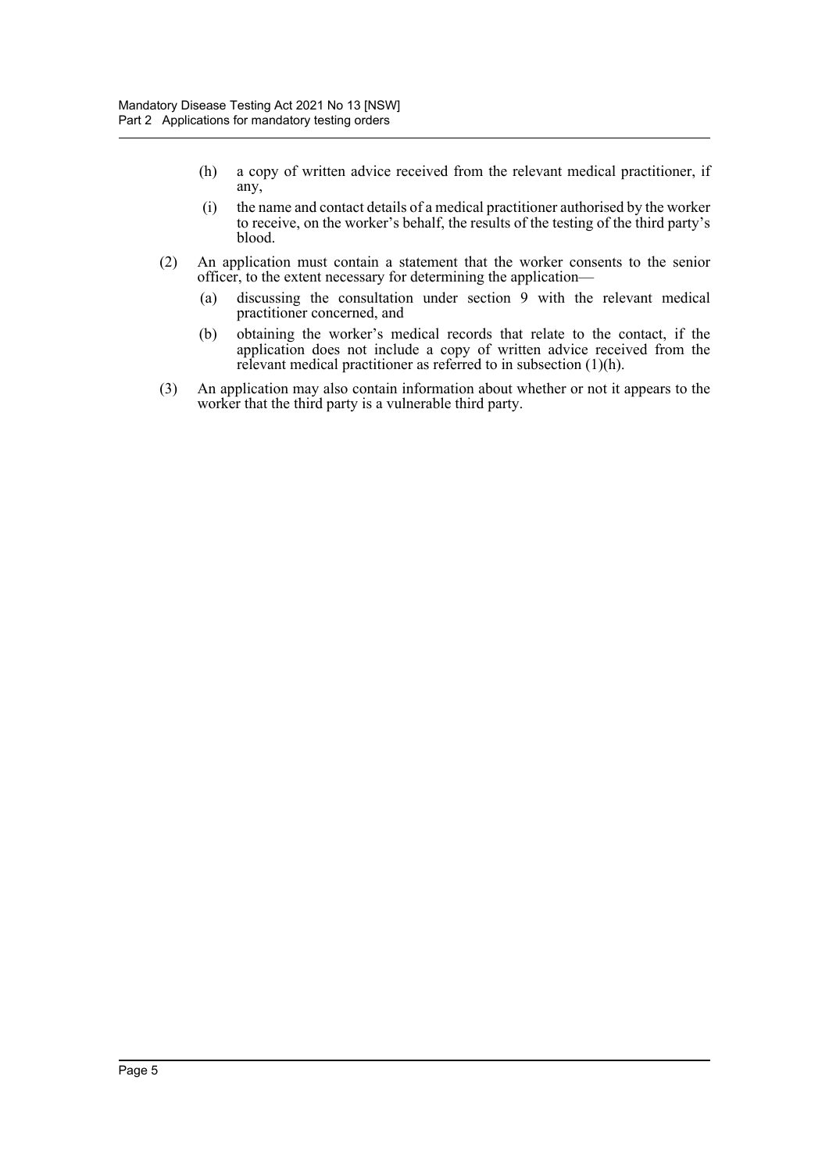- (h) a copy of written advice received from the relevant medical practitioner, if any,
- (i) the name and contact details of a medical practitioner authorised by the worker to receive, on the worker's behalf, the results of the testing of the third party's blood.
- (2) An application must contain a statement that the worker consents to the senior officer, to the extent necessary for determining the application—
	- (a) discussing the consultation under section 9 with the relevant medical practitioner concerned, and
	- (b) obtaining the worker's medical records that relate to the contact, if the application does not include a copy of written advice received from the relevant medical practitioner as referred to in subsection (1)(h).
- (3) An application may also contain information about whether or not it appears to the worker that the third party is a vulnerable third party.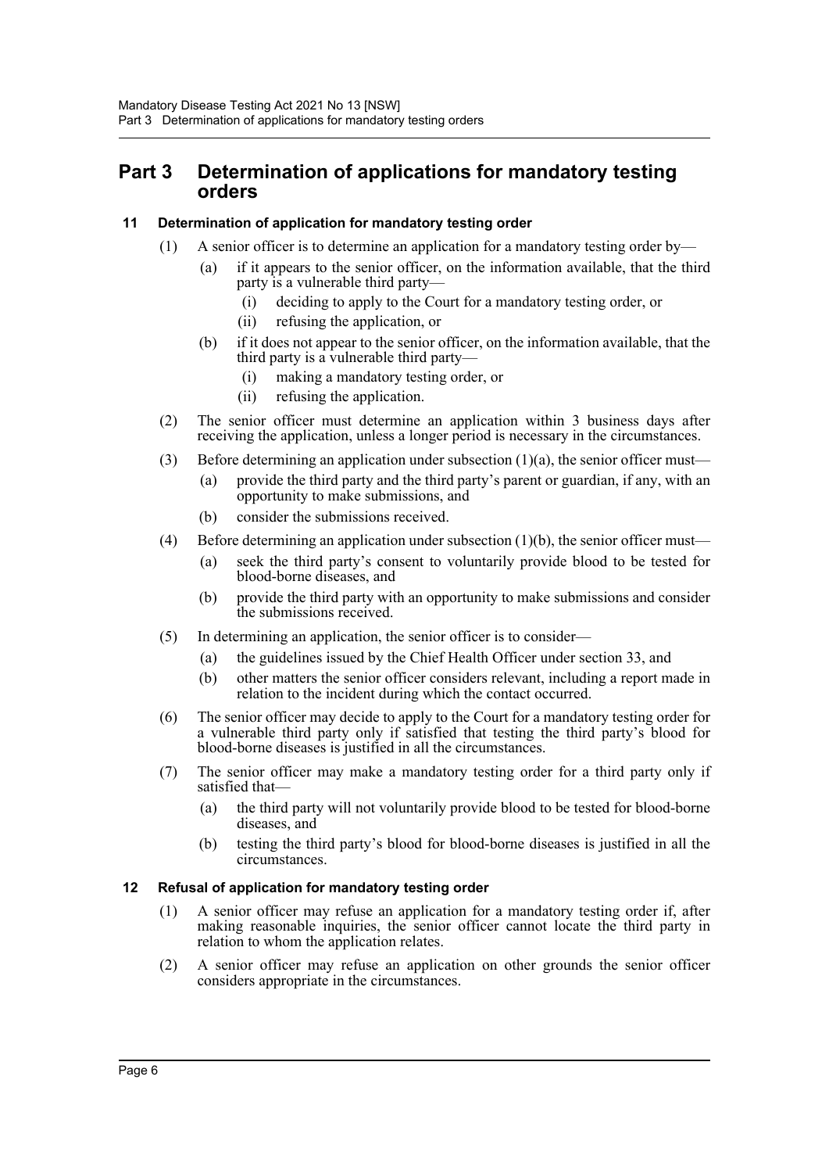### <span id="page-7-0"></span>**Part 3 Determination of applications for mandatory testing orders**

#### <span id="page-7-1"></span>**11 Determination of application for mandatory testing order**

- (1) A senior officer is to determine an application for a mandatory testing order by—
	- (a) if it appears to the senior officer, on the information available, that the third party is a vulnerable third party-
		- (i) deciding to apply to the Court for a mandatory testing order, or
		- (ii) refusing the application, or
	- (b) if it does not appear to the senior officer, on the information available, that the third party is a vulnerable third party—
		- (i) making a mandatory testing order, or
		- (ii) refusing the application.
- (2) The senior officer must determine an application within 3 business days after receiving the application, unless a longer period is necessary in the circumstances.
- (3) Before determining an application under subsection  $(1)(a)$ , the senior officer must—
	- (a) provide the third party and the third party's parent or guardian, if any, with an opportunity to make submissions, and
	- (b) consider the submissions received.
- (4) Before determining an application under subsection (1)(b), the senior officer must—
	- (a) seek the third party's consent to voluntarily provide blood to be tested for blood-borne diseases, and
	- (b) provide the third party with an opportunity to make submissions and consider the submissions received.
- (5) In determining an application, the senior officer is to consider—
	- (a) the guidelines issued by the Chief Health Officer under section 33, and
	- (b) other matters the senior officer considers relevant, including a report made in relation to the incident during which the contact occurred.
- (6) The senior officer may decide to apply to the Court for a mandatory testing order for a vulnerable third party only if satisfied that testing the third party's blood for blood-borne diseases is justified in all the circumstances.
- (7) The senior officer may make a mandatory testing order for a third party only if satisfied that—
	- (a) the third party will not voluntarily provide blood to be tested for blood-borne diseases, and
	- (b) testing the third party's blood for blood-borne diseases is justified in all the circumstances.

#### <span id="page-7-2"></span>**12 Refusal of application for mandatory testing order**

- (1) A senior officer may refuse an application for a mandatory testing order if, after making reasonable inquiries, the senior officer cannot locate the third party in relation to whom the application relates.
- (2) A senior officer may refuse an application on other grounds the senior officer considers appropriate in the circumstances.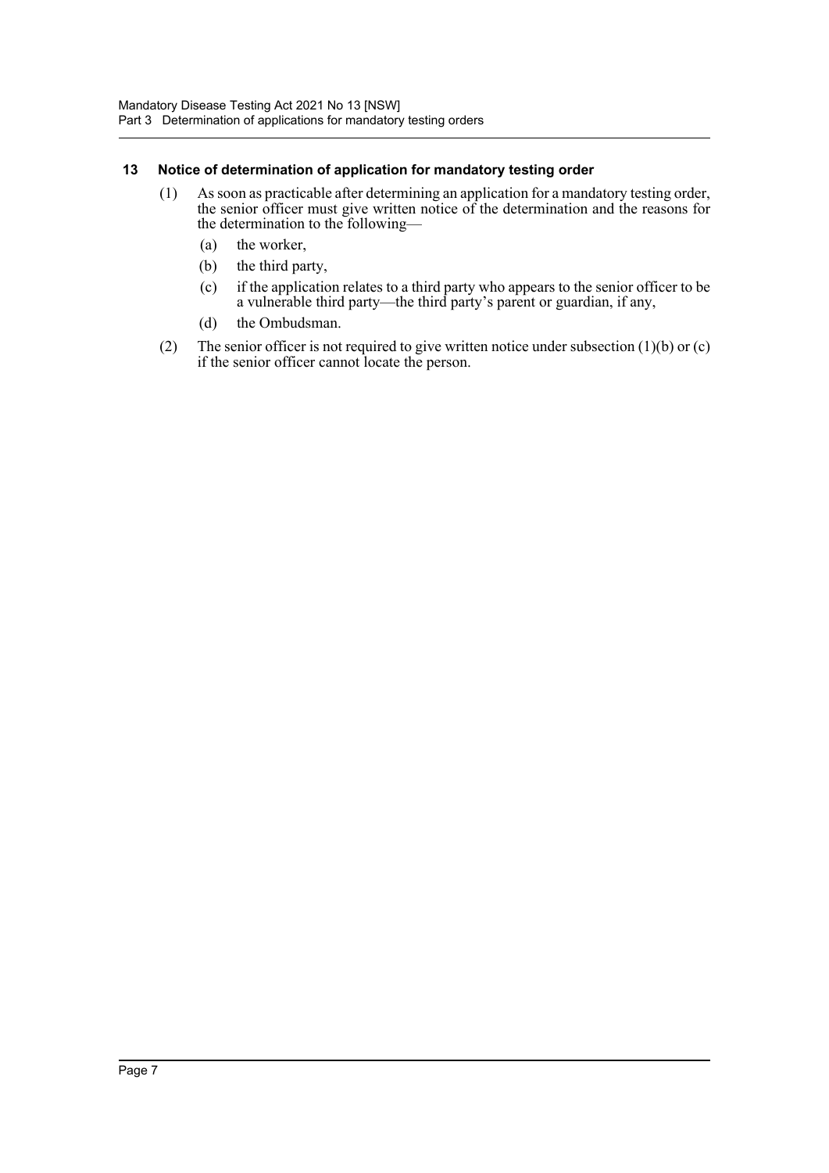#### <span id="page-8-0"></span>**13 Notice of determination of application for mandatory testing order**

- (1) As soon as practicable after determining an application for a mandatory testing order, the senior officer must give written notice of the determination and the reasons for the determination to the following—
	- (a) the worker,
	- (b) the third party,
	- (c) if the application relates to a third party who appears to the senior officer to be a vulnerable third party—the third party's parent or guardian, if any,
	- (d) the Ombudsman.
- (2) The senior officer is not required to give written notice under subsection  $(1)(b)$  or  $(c)$ if the senior officer cannot locate the person.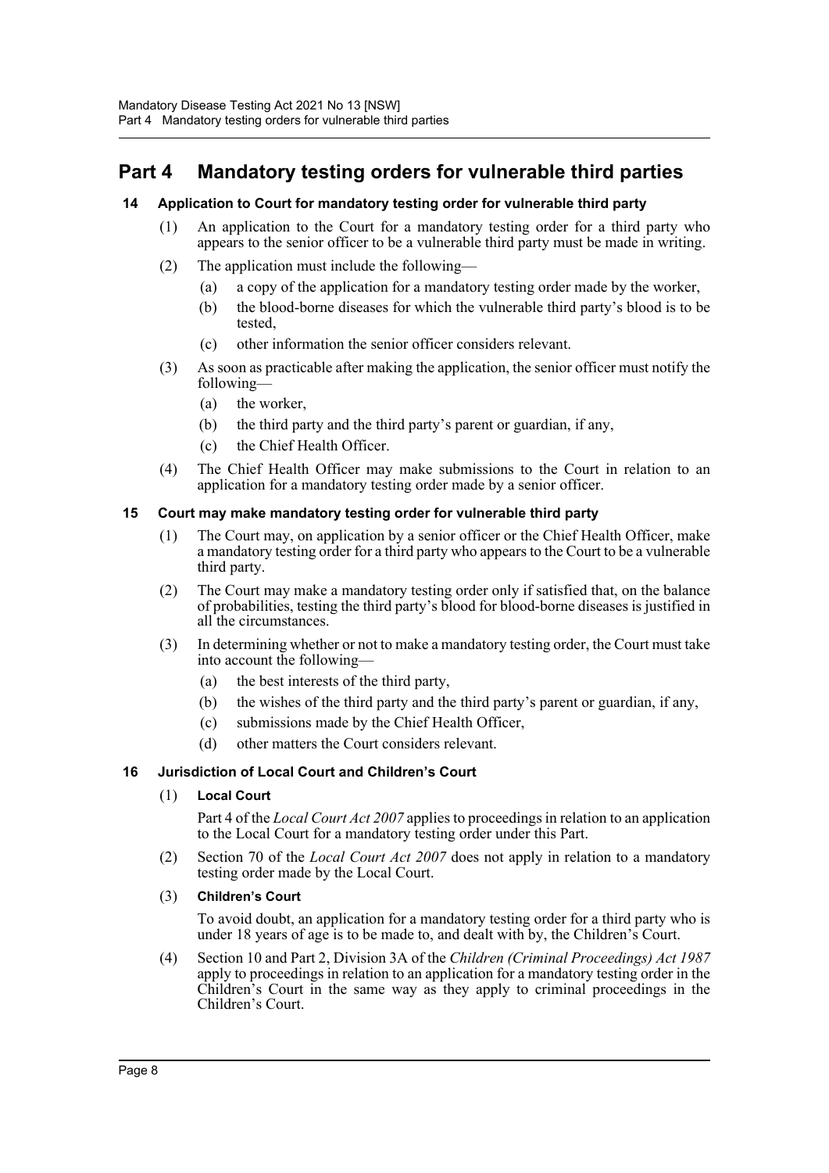### <span id="page-9-0"></span>**Part 4 Mandatory testing orders for vulnerable third parties**

#### <span id="page-9-1"></span>**14 Application to Court for mandatory testing order for vulnerable third party**

- (1) An application to the Court for a mandatory testing order for a third party who appears to the senior officer to be a vulnerable third party must be made in writing.
- (2) The application must include the following—
	- (a) a copy of the application for a mandatory testing order made by the worker,
	- (b) the blood-borne diseases for which the vulnerable third party's blood is to be tested,
	- (c) other information the senior officer considers relevant.
- (3) As soon as practicable after making the application, the senior officer must notify the following—
	- (a) the worker,
	- (b) the third party and the third party's parent or guardian, if any,
	- (c) the Chief Health Officer.
- (4) The Chief Health Officer may make submissions to the Court in relation to an application for a mandatory testing order made by a senior officer.

#### <span id="page-9-2"></span>**15 Court may make mandatory testing order for vulnerable third party**

- (1) The Court may, on application by a senior officer or the Chief Health Officer, make a mandatory testing order for a third party who appears to the Court to be a vulnerable third party.
- (2) The Court may make a mandatory testing order only if satisfied that, on the balance of probabilities, testing the third party's blood for blood-borne diseases is justified in all the circumstances.
- (3) In determining whether or not to make a mandatory testing order, the Court must take into account the following—
	- (a) the best interests of the third party,
	- (b) the wishes of the third party and the third party's parent or guardian, if any,
	- (c) submissions made by the Chief Health Officer,
	- (d) other matters the Court considers relevant.

#### <span id="page-9-3"></span>**16 Jurisdiction of Local Court and Children's Court**

#### (1) **Local Court**

Part 4 of the *Local Court Act 2007* applies to proceedings in relation to an application to the Local Court for a mandatory testing order under this Part.

- (2) Section 70 of the *Local Court Act 2007* does not apply in relation to a mandatory testing order made by the Local Court.
- (3) **Children's Court**

To avoid doubt, an application for a mandatory testing order for a third party who is under 18 years of age is to be made to, and dealt with by, the Children's Court.

(4) Section 10 and Part 2, Division 3A of the *Children (Criminal Proceedings) Act 1987* apply to proceedings in relation to an application for a mandatory testing order in the Children's Court in the same way as they apply to criminal proceedings in the Children's Court.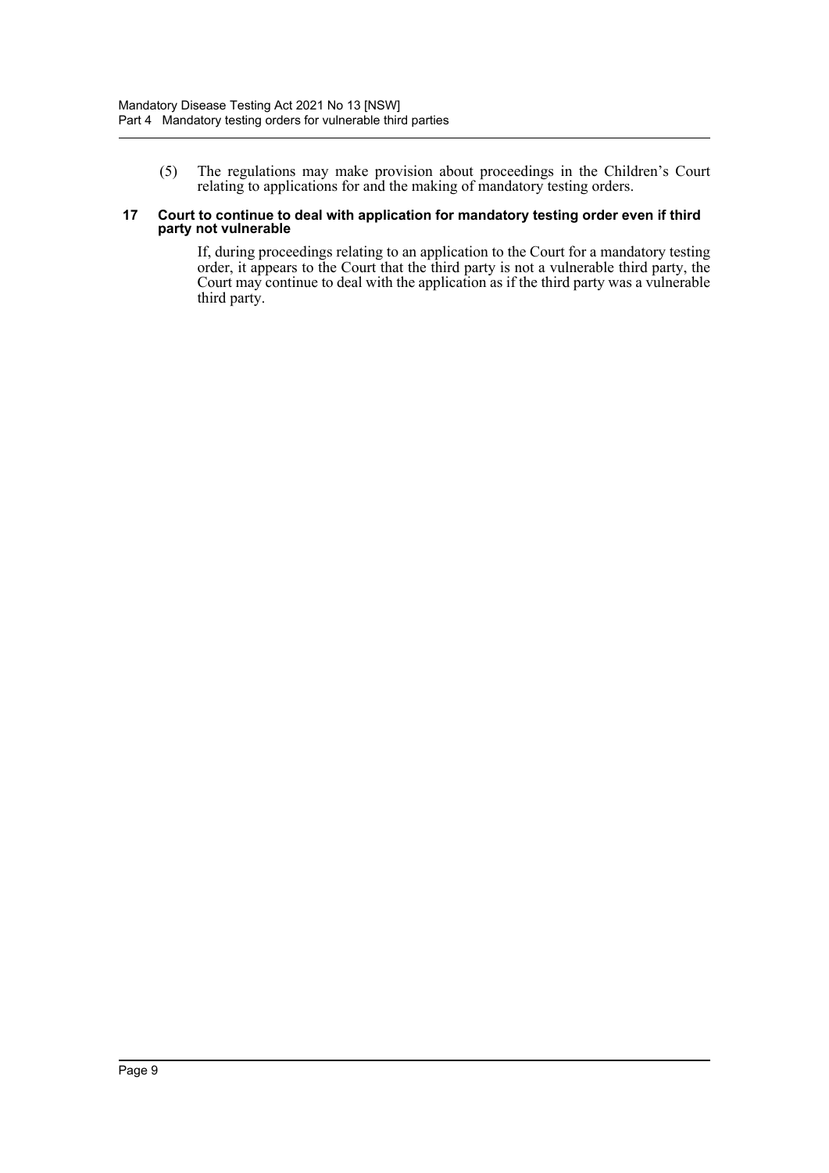(5) The regulations may make provision about proceedings in the Children's Court relating to applications for and the making of mandatory testing orders.

#### <span id="page-10-0"></span>**17 Court to continue to deal with application for mandatory testing order even if third party not vulnerable**

If, during proceedings relating to an application to the Court for a mandatory testing order, it appears to the Court that the third party is not a vulnerable third party, the Court may continue to deal with the application as if the third party was a vulnerable third party.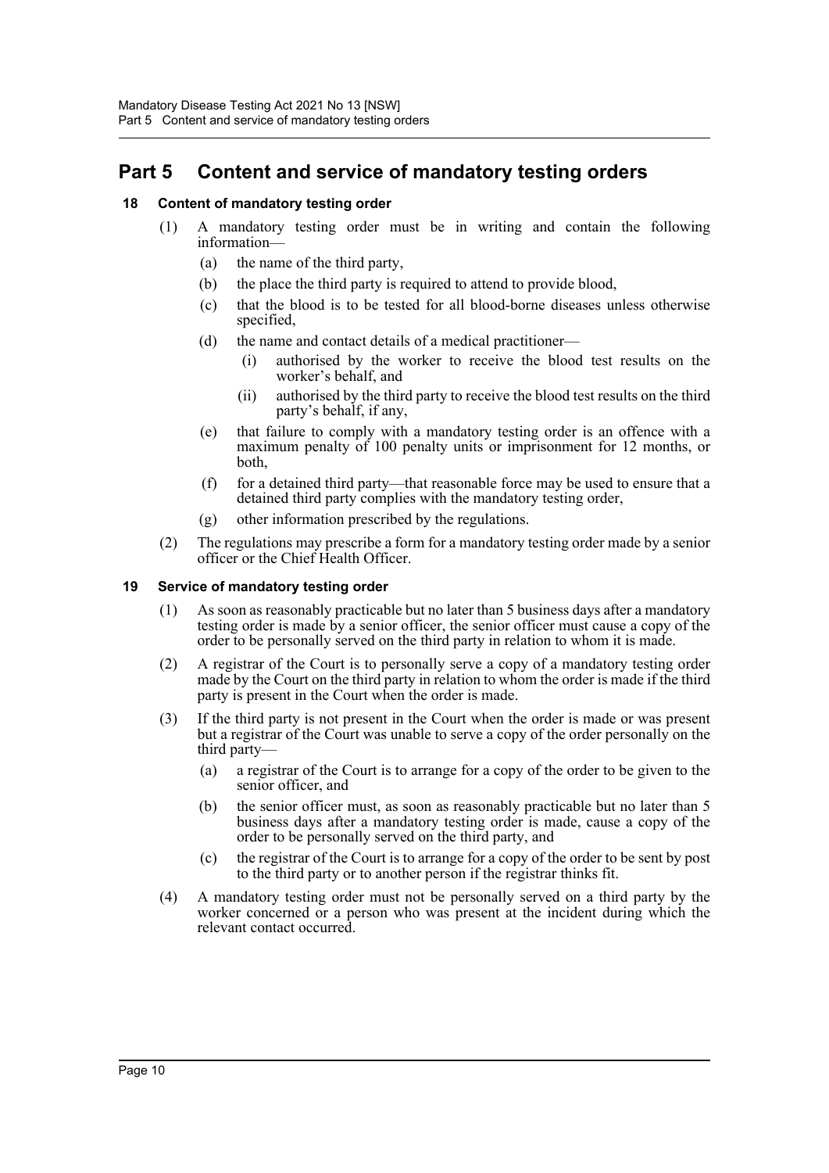### <span id="page-11-0"></span>**Part 5 Content and service of mandatory testing orders**

#### <span id="page-11-1"></span>**18 Content of mandatory testing order**

- (1) A mandatory testing order must be in writing and contain the following information—
	- (a) the name of the third party,
	- (b) the place the third party is required to attend to provide blood,
	- (c) that the blood is to be tested for all blood-borne diseases unless otherwise specified,
	- (d) the name and contact details of a medical practitioner—
		- (i) authorised by the worker to receive the blood test results on the worker's behalf, and
		- (ii) authorised by the third party to receive the blood test results on the third party's behalf, if any,
	- (e) that failure to comply with a mandatory testing order is an offence with a maximum penalty of 100 penalty units or imprisonment for 12 months, or both,
	- (f) for a detained third party—that reasonable force may be used to ensure that a detained third party complies with the mandatory testing order,
	- (g) other information prescribed by the regulations.
- (2) The regulations may prescribe a form for a mandatory testing order made by a senior officer or the Chief Health Officer.

#### <span id="page-11-2"></span>**19 Service of mandatory testing order**

- (1) As soon as reasonably practicable but no later than 5 business days after a mandatory testing order is made by a senior officer, the senior officer must cause a copy of the order to be personally served on the third party in relation to whom it is made.
- (2) A registrar of the Court is to personally serve a copy of a mandatory testing order made by the Court on the third party in relation to whom the order is made if the third party is present in the Court when the order is made.
- (3) If the third party is not present in the Court when the order is made or was present but a registrar of the Court was unable to serve a copy of the order personally on the third party—
	- (a) a registrar of the Court is to arrange for a copy of the order to be given to the senior officer, and
	- (b) the senior officer must, as soon as reasonably practicable but no later than 5 business days after a mandatory testing order is made, cause a copy of the order to be personally served on the third party, and
	- (c) the registrar of the Court is to arrange for a copy of the order to be sent by post to the third party or to another person if the registrar thinks fit.
- (4) A mandatory testing order must not be personally served on a third party by the worker concerned or a person who was present at the incident during which the relevant contact occurred.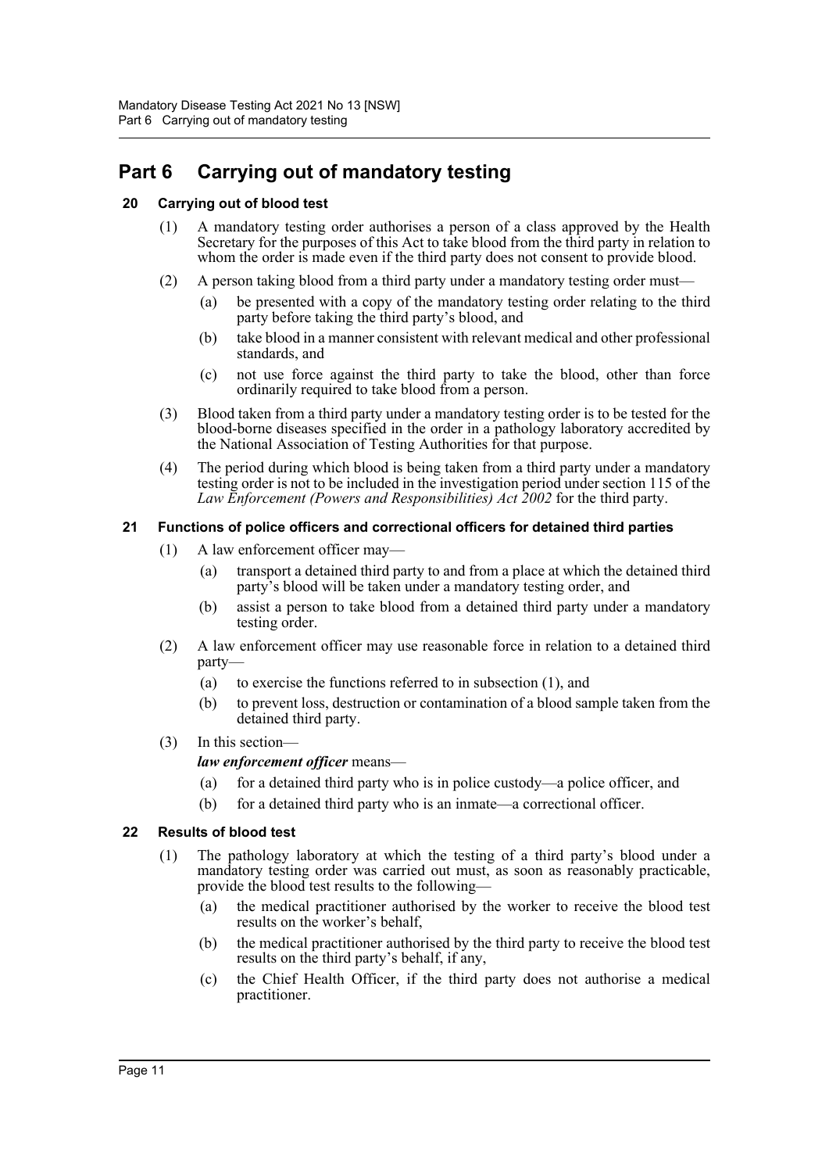# <span id="page-12-0"></span>**Part 6 Carrying out of mandatory testing**

#### <span id="page-12-1"></span>**20 Carrying out of blood test**

- (1) A mandatory testing order authorises a person of a class approved by the Health Secretary for the purposes of this Act to take blood from the third party in relation to whom the order is made even if the third party does not consent to provide blood.
- (2) A person taking blood from a third party under a mandatory testing order must—
	- (a) be presented with a copy of the mandatory testing order relating to the third party before taking the third party's blood, and
	- (b) take blood in a manner consistent with relevant medical and other professional standards, and
	- (c) not use force against the third party to take the blood, other than force ordinarily required to take blood from a person.
- (3) Blood taken from a third party under a mandatory testing order is to be tested for the blood-borne diseases specified in the order in a pathology laboratory accredited by the National Association of Testing Authorities for that purpose.
- (4) The period during which blood is being taken from a third party under a mandatory testing order is not to be included in the investigation period under section 115 of the *Law Enforcement (Powers and Responsibilities) Act 2002* for the third party.

#### <span id="page-12-2"></span>**21 Functions of police officers and correctional officers for detained third parties**

- (1) A law enforcement officer may—
	- (a) transport a detained third party to and from a place at which the detained third party's blood will be taken under a mandatory testing order, and
	- (b) assist a person to take blood from a detained third party under a mandatory testing order.
- (2) A law enforcement officer may use reasonable force in relation to a detained third party—
	- (a) to exercise the functions referred to in subsection (1), and
	- (b) to prevent loss, destruction or contamination of a blood sample taken from the detained third party.
- (3) In this section—

#### *law enforcement officer* means—

- (a) for a detained third party who is in police custody—a police officer, and
- (b) for a detained third party who is an inmate—a correctional officer.

#### <span id="page-12-3"></span>**22 Results of blood test**

- (1) The pathology laboratory at which the testing of a third party's blood under a mandatory testing order was carried out must, as soon as reasonably practicable, provide the blood test results to the following—
	- (a) the medical practitioner authorised by the worker to receive the blood test results on the worker's behalf,
	- (b) the medical practitioner authorised by the third party to receive the blood test results on the third party's behalf, if any,
	- (c) the Chief Health Officer, if the third party does not authorise a medical practitioner.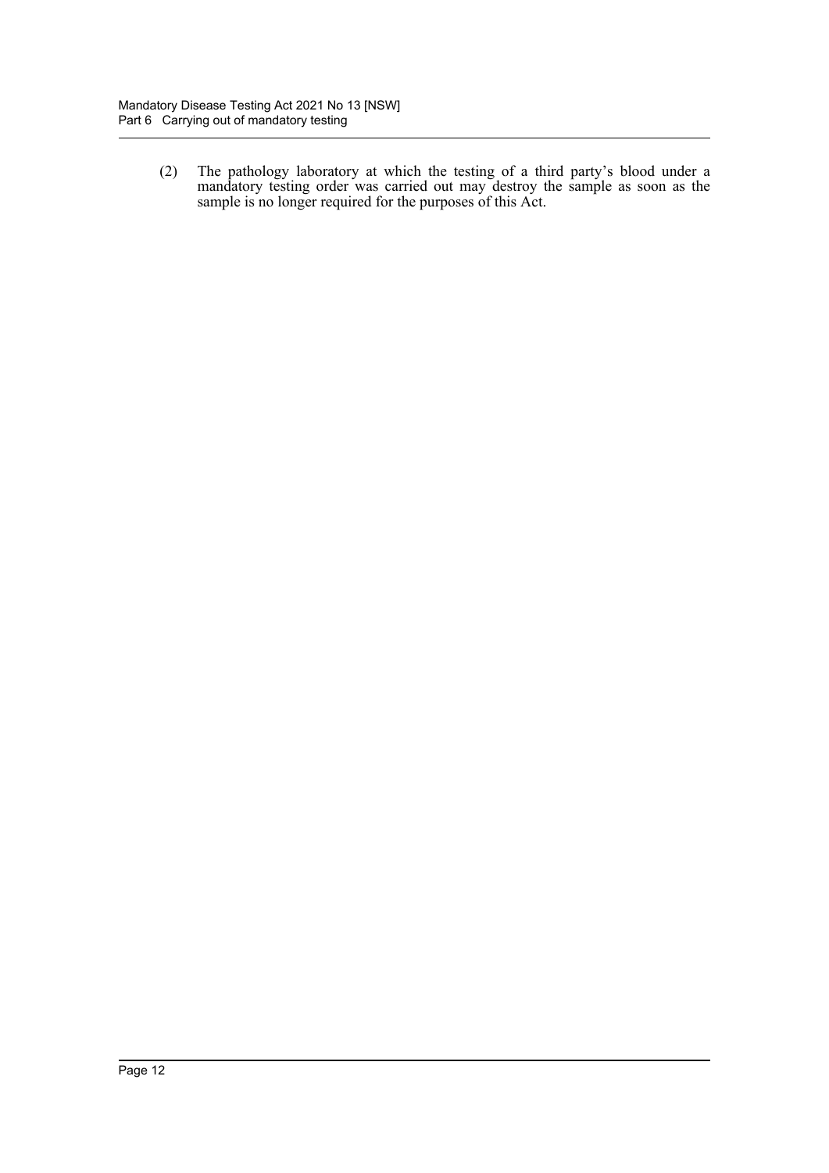(2) The pathology laboratory at which the testing of a third party's blood under a mandatory testing order was carried out may destroy the sample as soon as the sample is no longer required for the purposes of this Act.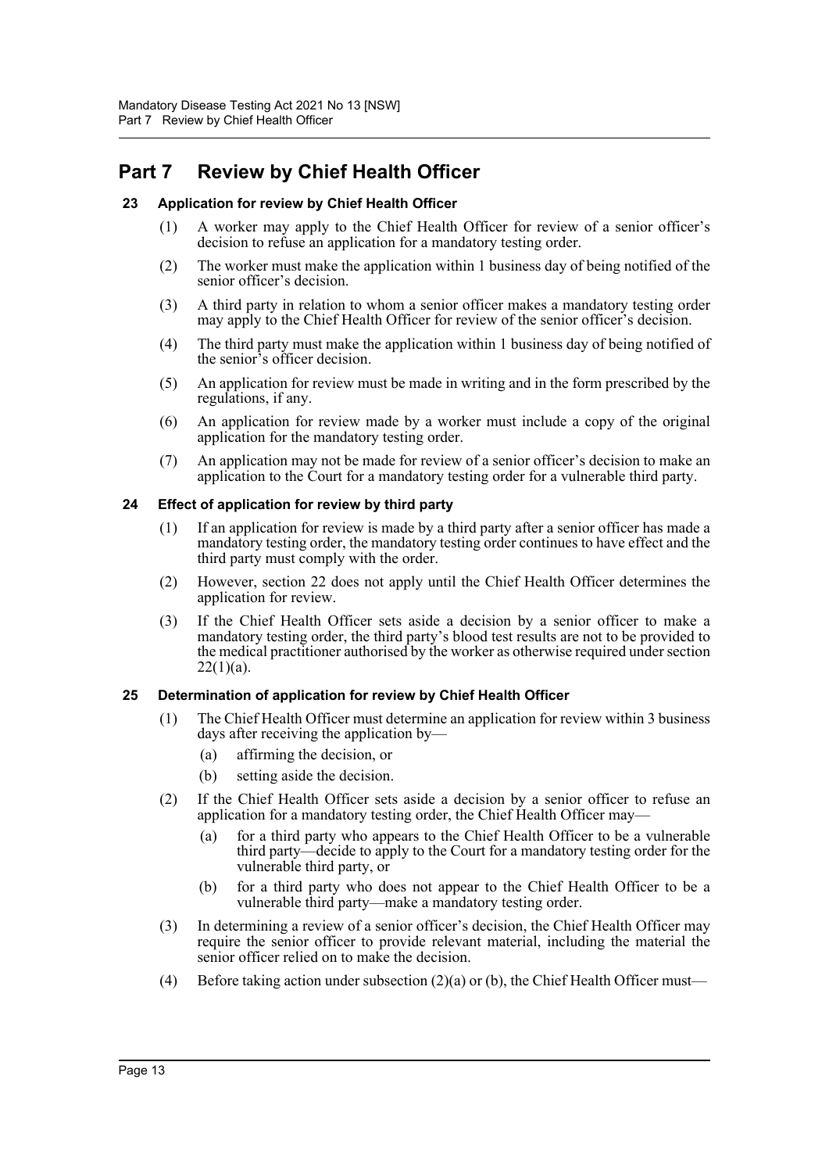### <span id="page-14-0"></span>**Part 7 Review by Chief Health Officer**

#### <span id="page-14-1"></span>**23 Application for review by Chief Health Officer**

- (1) A worker may apply to the Chief Health Officer for review of a senior officer's decision to refuse an application for a mandatory testing order.
- (2) The worker must make the application within 1 business day of being notified of the senior officer's decision.
- (3) A third party in relation to whom a senior officer makes a mandatory testing order may apply to the Chief Health Officer for review of the senior officer's decision.
- (4) The third party must make the application within 1 business day of being notified of the senior's officer decision.
- (5) An application for review must be made in writing and in the form prescribed by the regulations, if any.
- (6) An application for review made by a worker must include a copy of the original application for the mandatory testing order.
- (7) An application may not be made for review of a senior officer's decision to make an application to the Court for a mandatory testing order for a vulnerable third party.

#### <span id="page-14-2"></span>**24 Effect of application for review by third party**

- (1) If an application for review is made by a third party after a senior officer has made a mandatory testing order, the mandatory testing order continues to have effect and the third party must comply with the order.
- (2) However, section 22 does not apply until the Chief Health Officer determines the application for review.
- (3) If the Chief Health Officer sets aside a decision by a senior officer to make a mandatory testing order, the third party's blood test results are not to be provided to the medical practitioner authorised by the worker as otherwise required under section  $22(1)(a)$ .

#### <span id="page-14-3"></span>**25 Determination of application for review by Chief Health Officer**

- (1) The Chief Health Officer must determine an application for review within 3 business days after receiving the application by—
	- (a) affirming the decision, or
	- (b) setting aside the decision.
- (2) If the Chief Health Officer sets aside a decision by a senior officer to refuse an application for a mandatory testing order, the Chief Health Officer may—
	- (a) for a third party who appears to the Chief Health Officer to be a vulnerable third party—decide to apply to the Court for a mandatory testing order for the vulnerable third party, or
	- (b) for a third party who does not appear to the Chief Health Officer to be a vulnerable third party—make a mandatory testing order.
- (3) In determining a review of a senior officer's decision, the Chief Health Officer may require the senior officer to provide relevant material, including the material the senior officer relied on to make the decision.
- (4) Before taking action under subsection  $(2)(a)$  or (b), the Chief Health Officer must—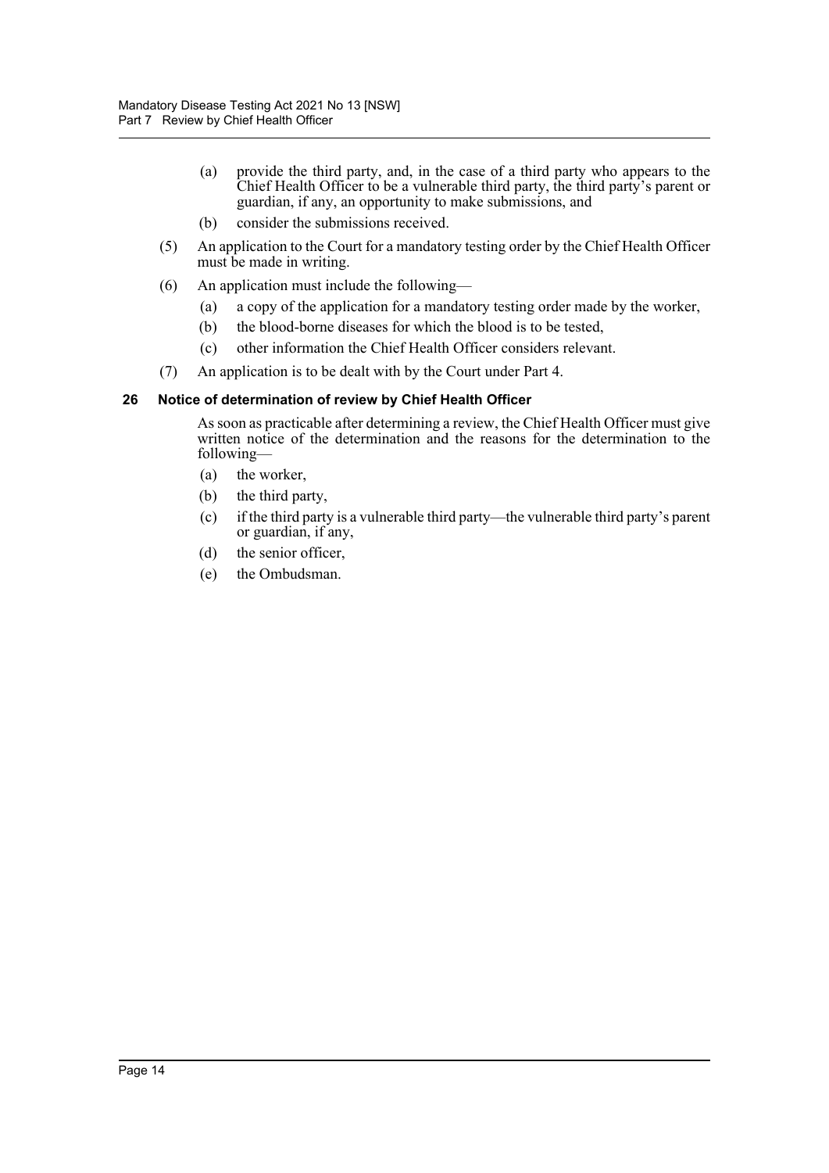- (a) provide the third party, and, in the case of a third party who appears to the Chief Health Officer to be a vulnerable third party, the third party's parent or guardian, if any, an opportunity to make submissions, and
- (b) consider the submissions received.
- (5) An application to the Court for a mandatory testing order by the Chief Health Officer must be made in writing.
- (6) An application must include the following—
	- (a) a copy of the application for a mandatory testing order made by the worker,
	- (b) the blood-borne diseases for which the blood is to be tested,
	- (c) other information the Chief Health Officer considers relevant.
- (7) An application is to be dealt with by the Court under Part 4.

#### <span id="page-15-0"></span>**26 Notice of determination of review by Chief Health Officer**

As soon as practicable after determining a review, the Chief Health Officer must give written notice of the determination and the reasons for the determination to the following—

- (a) the worker,
- (b) the third party,
- (c) if the third party is a vulnerable third party—the vulnerable third party's parent or guardian, if any,
- (d) the senior officer,
- (e) the Ombudsman.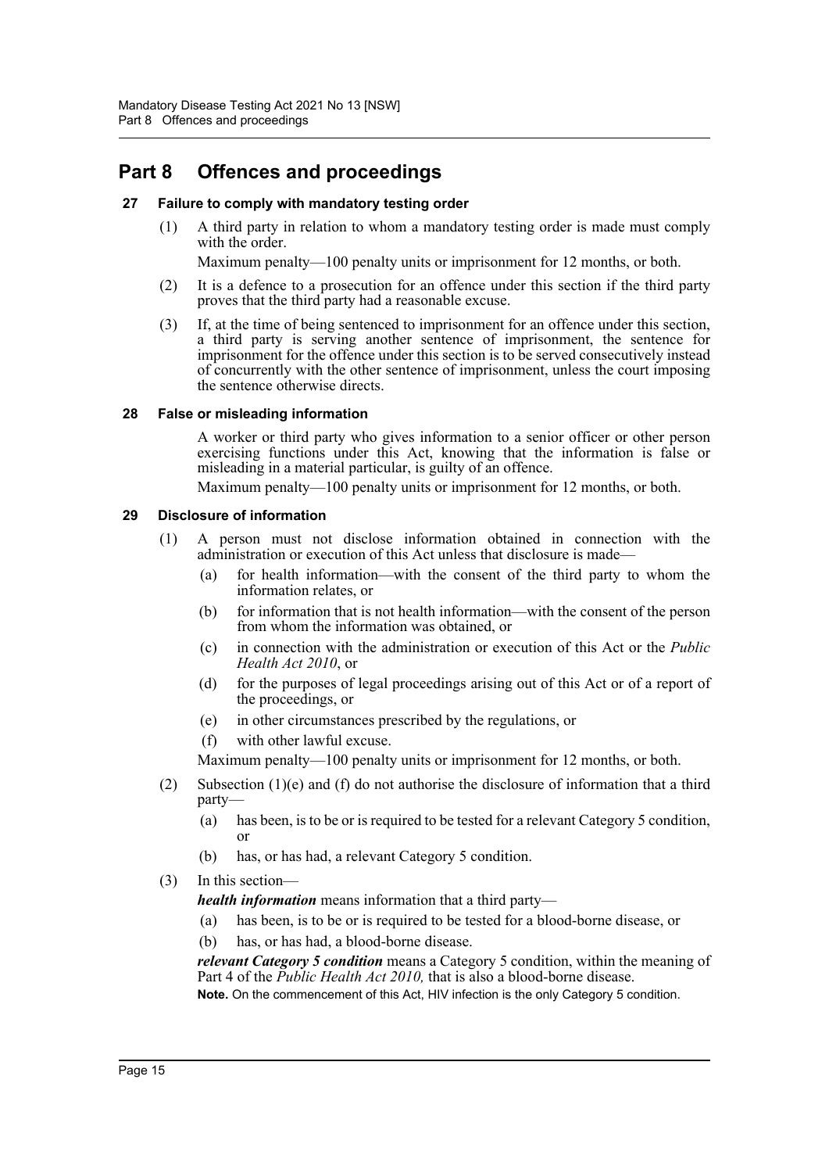### <span id="page-16-0"></span>**Part 8 Offences and proceedings**

#### <span id="page-16-1"></span>**27 Failure to comply with mandatory testing order**

(1) A third party in relation to whom a mandatory testing order is made must comply with the order.

Maximum penalty—100 penalty units or imprisonment for 12 months, or both.

- (2) It is a defence to a prosecution for an offence under this section if the third party proves that the third party had a reasonable excuse.
- (3) If, at the time of being sentenced to imprisonment for an offence under this section, a third party is serving another sentence of imprisonment, the sentence for imprisonment for the offence under this section is to be served consecutively instead of concurrently with the other sentence of imprisonment, unless the court imposing the sentence otherwise directs.

#### <span id="page-16-2"></span>**28 False or misleading information**

A worker or third party who gives information to a senior officer or other person exercising functions under this Act, knowing that the information is false or misleading in a material particular, is guilty of an offence.

Maximum penalty—100 penalty units or imprisonment for 12 months, or both.

#### <span id="page-16-3"></span>**29 Disclosure of information**

- (1) A person must not disclose information obtained in connection with the administration or execution of this Act unless that disclosure is made—
	- (a) for health information—with the consent of the third party to whom the information relates, or
	- (b) for information that is not health information—with the consent of the person from whom the information was obtained, or
	- (c) in connection with the administration or execution of this Act or the *Public Health Act 2010*, or
	- (d) for the purposes of legal proceedings arising out of this Act or of a report of the proceedings, or
	- (e) in other circumstances prescribed by the regulations, or
	- (f) with other lawful excuse.

Maximum penalty—100 penalty units or imprisonment for 12 months, or both.

- (2) Subsection  $(1)(e)$  and (f) do not authorise the disclosure of information that a third party—
	- (a) has been, is to be or is required to be tested for a relevant Category 5 condition, or
	- (b) has, or has had, a relevant Category 5 condition.
- (3) In this section—

*health information* means information that a third party—

- (a) has been, is to be or is required to be tested for a blood-borne disease, or
- (b) has, or has had, a blood-borne disease.

*relevant Category 5 condition* means a Category 5 condition, within the meaning of Part 4 of the *Public Health Act 2010,* that is also a blood-borne disease. **Note.** On the commencement of this Act, HIV infection is the only Category 5 condition.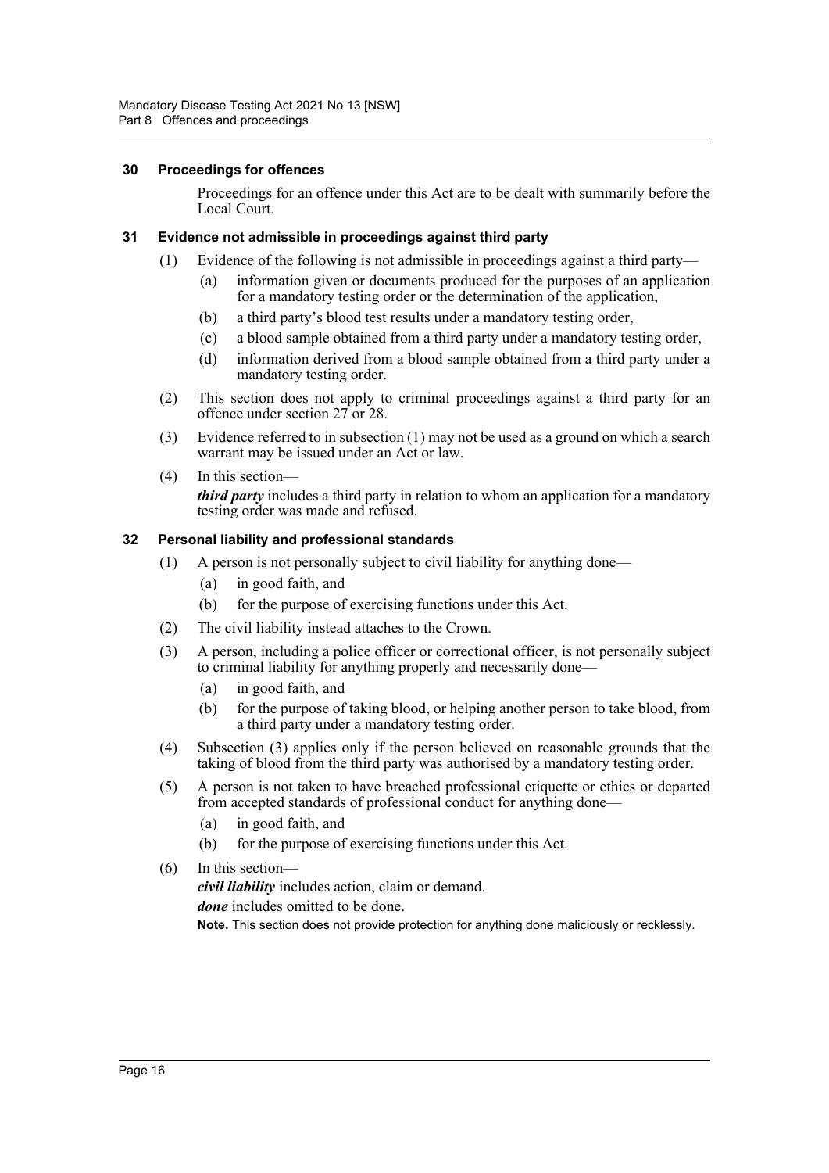#### <span id="page-17-0"></span>**30 Proceedings for offences**

Proceedings for an offence under this Act are to be dealt with summarily before the Local Court.

#### <span id="page-17-1"></span>**31 Evidence not admissible in proceedings against third party**

- (1) Evidence of the following is not admissible in proceedings against a third party—
	- (a) information given or documents produced for the purposes of an application for a mandatory testing order or the determination of the application,
	- (b) a third party's blood test results under a mandatory testing order,
	- (c) a blood sample obtained from a third party under a mandatory testing order,
	- (d) information derived from a blood sample obtained from a third party under a mandatory testing order.
- (2) This section does not apply to criminal proceedings against a third party for an offence under section 27 or 28.
- (3) Evidence referred to in subsection (1) may not be used as a ground on which a search warrant may be issued under an Act or law.
- (4) In this section *third party* includes a third party in relation to whom an application for a mandatory testing order was made and refused.

#### <span id="page-17-2"></span>**32 Personal liability and professional standards**

- (1) A person is not personally subject to civil liability for anything done—
	- (a) in good faith, and
	- (b) for the purpose of exercising functions under this Act.
- (2) The civil liability instead attaches to the Crown.
- (3) A person, including a police officer or correctional officer, is not personally subject to criminal liability for anything properly and necessarily done—
	- (a) in good faith, and
	- (b) for the purpose of taking blood, or helping another person to take blood, from a third party under a mandatory testing order.
- (4) Subsection (3) applies only if the person believed on reasonable grounds that the taking of blood from the third party was authorised by a mandatory testing order.
- (5) A person is not taken to have breached professional etiquette or ethics or departed from accepted standards of professional conduct for anything done—
	- (a) in good faith, and
	- (b) for the purpose of exercising functions under this Act.
- (6) In this section *civil liability* includes action, claim or demand. *done* includes omitted to be done. **Note.** This section does not provide protection for anything done maliciously or recklessly.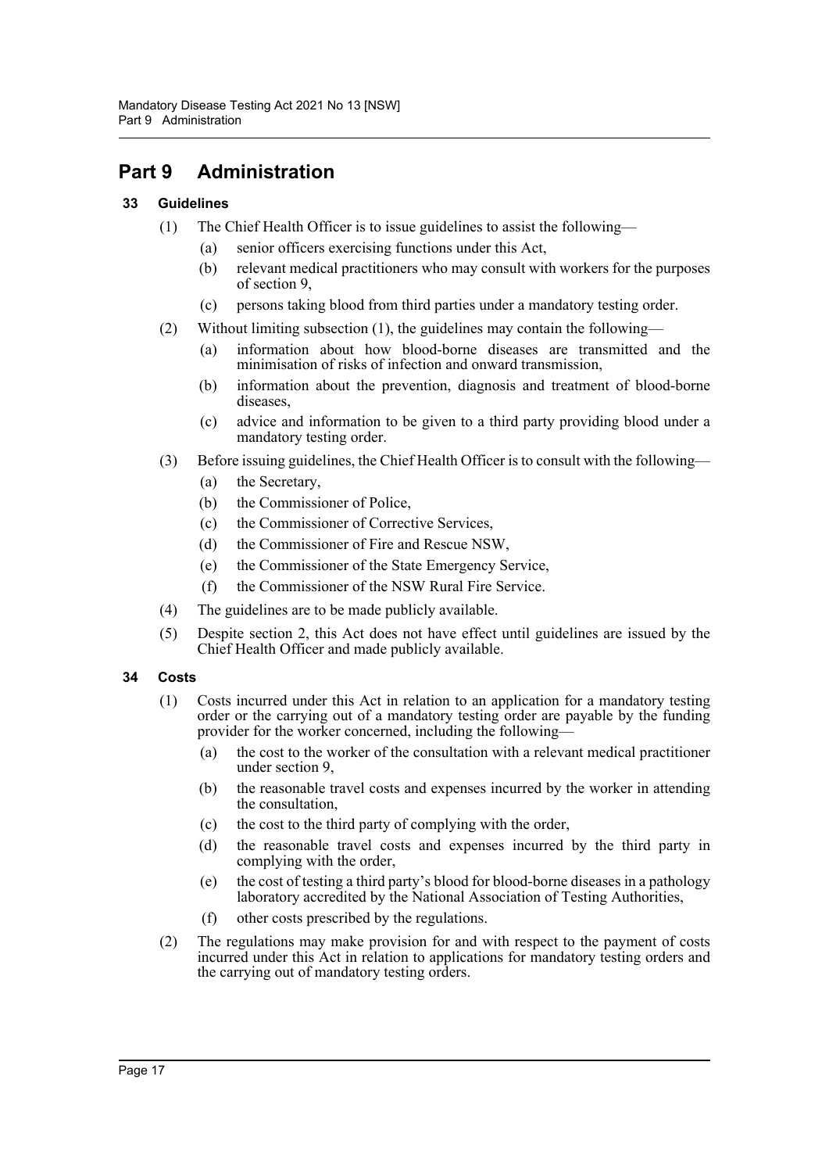## <span id="page-18-0"></span>**Part 9 Administration**

#### <span id="page-18-1"></span>**33 Guidelines**

- (1) The Chief Health Officer is to issue guidelines to assist the following—
	- (a) senior officers exercising functions under this Act,
	- (b) relevant medical practitioners who may consult with workers for the purposes of section 9,
	- (c) persons taking blood from third parties under a mandatory testing order.
- (2) Without limiting subsection (1), the guidelines may contain the following—
	- (a) information about how blood-borne diseases are transmitted and the minimisation of risks of infection and onward transmission,
	- (b) information about the prevention, diagnosis and treatment of blood-borne diseases,
	- (c) advice and information to be given to a third party providing blood under a mandatory testing order.
- (3) Before issuing guidelines, the Chief Health Officer is to consult with the following—
	- (a) the Secretary,
	- (b) the Commissioner of Police,
	- (c) the Commissioner of Corrective Services,
	- (d) the Commissioner of Fire and Rescue NSW,
	- (e) the Commissioner of the State Emergency Service,
	- (f) the Commissioner of the NSW Rural Fire Service.
- (4) The guidelines are to be made publicly available.
- (5) Despite section 2, this Act does not have effect until guidelines are issued by the Chief Health Officer and made publicly available.

#### <span id="page-18-2"></span>**34 Costs**

- (1) Costs incurred under this Act in relation to an application for a mandatory testing order or the carrying out of a mandatory testing order are payable by the funding provider for the worker concerned, including the following—
	- (a) the cost to the worker of the consultation with a relevant medical practitioner under section 9,
	- (b) the reasonable travel costs and expenses incurred by the worker in attending the consultation,
	- (c) the cost to the third party of complying with the order,
	- (d) the reasonable travel costs and expenses incurred by the third party in complying with the order,
	- (e) the cost of testing a third party's blood for blood-borne diseases in a pathology laboratory accredited by the National Association of Testing Authorities,
	- (f) other costs prescribed by the regulations.
- (2) The regulations may make provision for and with respect to the payment of costs incurred under this Act in relation to applications for mandatory testing orders and the carrying out of mandatory testing orders.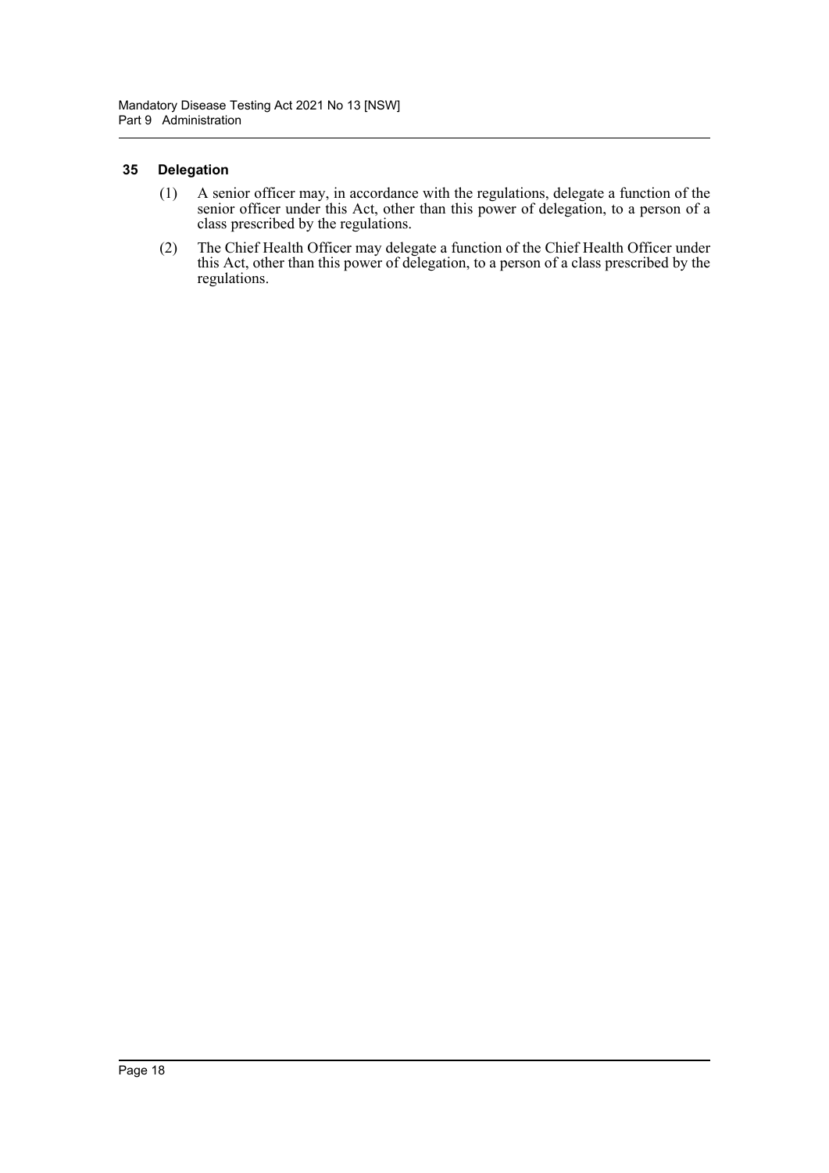#### <span id="page-19-0"></span>**35 Delegation**

- (1) A senior officer may, in accordance with the regulations, delegate a function of the senior officer under this Act, other than this power of delegation, to a person of a class prescribed by the regulations.
- (2) The Chief Health Officer may delegate a function of the Chief Health Officer under this Act, other than this power of delegation, to a person of a class prescribed by the regulations.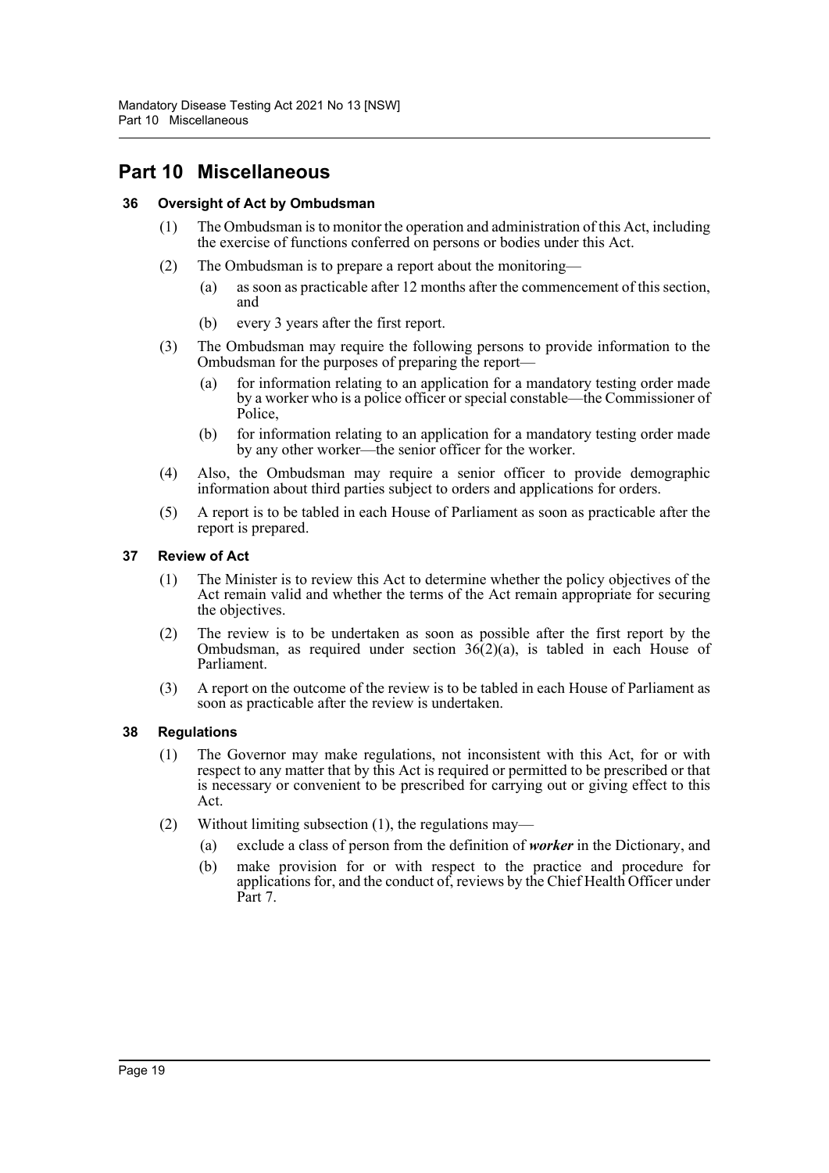### <span id="page-20-0"></span>**Part 10 Miscellaneous**

#### <span id="page-20-1"></span>**36 Oversight of Act by Ombudsman**

- (1) The Ombudsman is to monitor the operation and administration of this Act, including the exercise of functions conferred on persons or bodies under this Act.
- (2) The Ombudsman is to prepare a report about the monitoring—
	- (a) as soon as practicable after 12 months after the commencement of this section, and
	- (b) every 3 years after the first report.
- (3) The Ombudsman may require the following persons to provide information to the Ombudsman for the purposes of preparing the report—
	- (a) for information relating to an application for a mandatory testing order made by a worker who is a police officer or special constable—the Commissioner of Police,
	- (b) for information relating to an application for a mandatory testing order made by any other worker—the senior officer for the worker.
- (4) Also, the Ombudsman may require a senior officer to provide demographic information about third parties subject to orders and applications for orders.
- (5) A report is to be tabled in each House of Parliament as soon as practicable after the report is prepared.

#### <span id="page-20-2"></span>**37 Review of Act**

- (1) The Minister is to review this Act to determine whether the policy objectives of the Act remain valid and whether the terms of the Act remain appropriate for securing the objectives.
- (2) The review is to be undertaken as soon as possible after the first report by the Ombudsman, as required under section  $36(2)(a)$ , is tabled in each House of Parliament.
- (3) A report on the outcome of the review is to be tabled in each House of Parliament as soon as practicable after the review is undertaken.

#### <span id="page-20-3"></span>**38 Regulations**

- (1) The Governor may make regulations, not inconsistent with this Act, for or with respect to any matter that by this Act is required or permitted to be prescribed or that is necessary or convenient to be prescribed for carrying out or giving effect to this Act.
- (2) Without limiting subsection (1), the regulations may—
	- (a) exclude a class of person from the definition of *worker* in the Dictionary, and
	- (b) make provision for or with respect to the practice and procedure for applications for, and the conduct of, reviews by the Chief Health Officer under Part 7.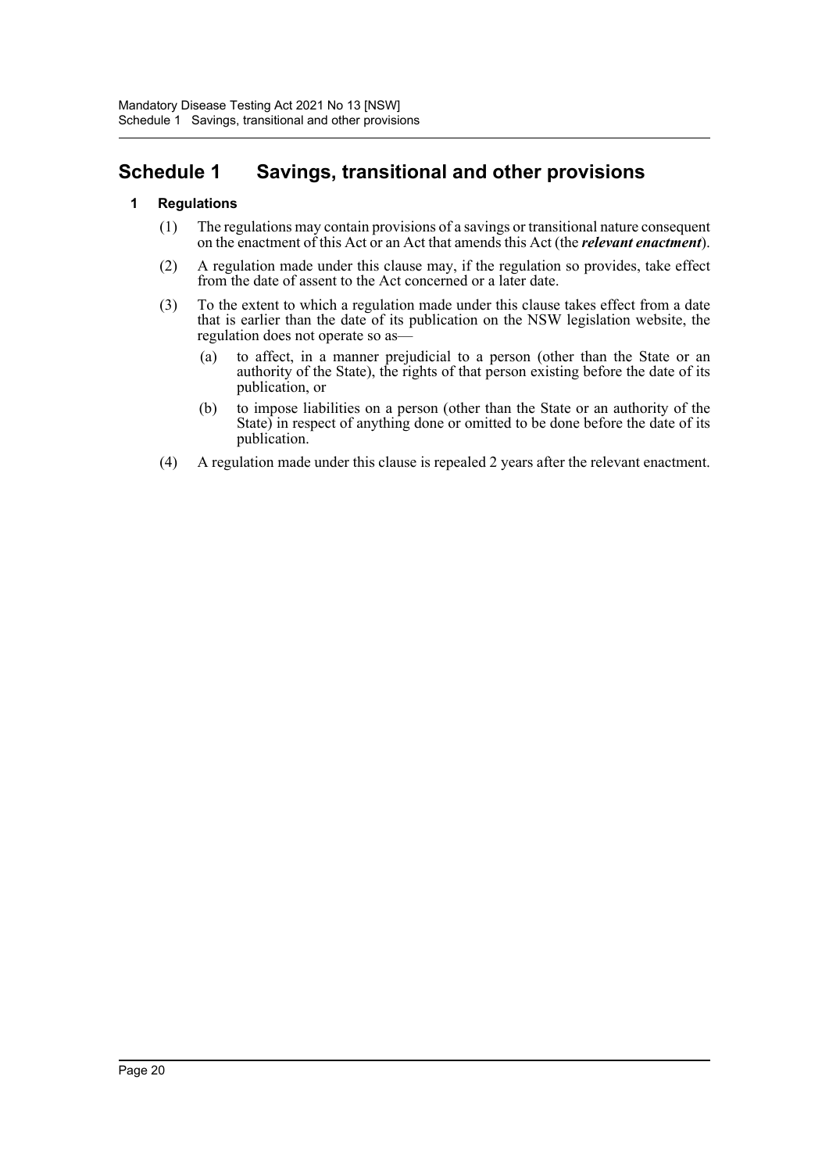### <span id="page-21-0"></span>**Schedule 1 Savings, transitional and other provisions**

#### **1 Regulations**

- (1) The regulations may contain provisions of a savings or transitional nature consequent on the enactment of this Act or an Act that amends this Act (the *relevant enactment*).
- (2) A regulation made under this clause may, if the regulation so provides, take effect from the date of assent to the Act concerned or a later date.
- (3) To the extent to which a regulation made under this clause takes effect from a date that is earlier than the date of its publication on the NSW legislation website, the regulation does not operate so as—
	- (a) to affect, in a manner prejudicial to a person (other than the State or an authority of the State), the rights of that person existing before the date of its publication, or
	- (b) to impose liabilities on a person (other than the State or an authority of the State) in respect of anything done or omitted to be done before the date of its publication.
- (4) A regulation made under this clause is repealed 2 years after the relevant enactment.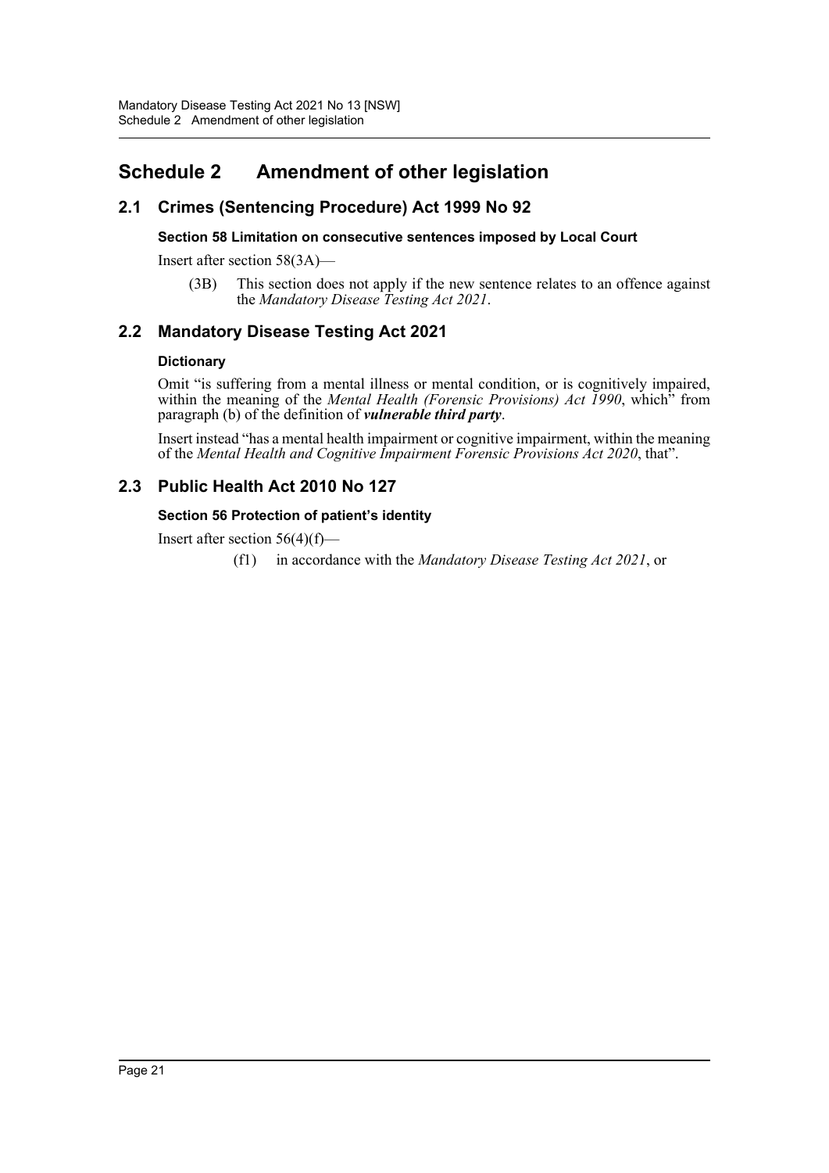## <span id="page-22-0"></span>**Schedule 2 Amendment of other legislation**

### **2.1 Crimes (Sentencing Procedure) Act 1999 No 92**

#### **Section 58 Limitation on consecutive sentences imposed by Local Court**

Insert after section 58(3A)—

(3B) This section does not apply if the new sentence relates to an offence against the *Mandatory Disease Testing Act 2021*.

### **2.2 Mandatory Disease Testing Act 2021**

#### **Dictionary**

Omit "is suffering from a mental illness or mental condition, or is cognitively impaired, within the meaning of the *Mental Health (Forensic Provisions) Act 1990*, which<sup>3</sup> from paragraph (b) of the definition of *vulnerable third party*.

Insert instead "has a mental health impairment or cognitive impairment, within the meaning of the *Mental Health and Cognitive Impairment Forensic Provisions Act 2020*, that".

### **2.3 Public Health Act 2010 No 127**

#### **Section 56 Protection of patient's identity**

Insert after section  $56(4)(f)$ —

(f1) in accordance with the *Mandatory Disease Testing Act 2021*, or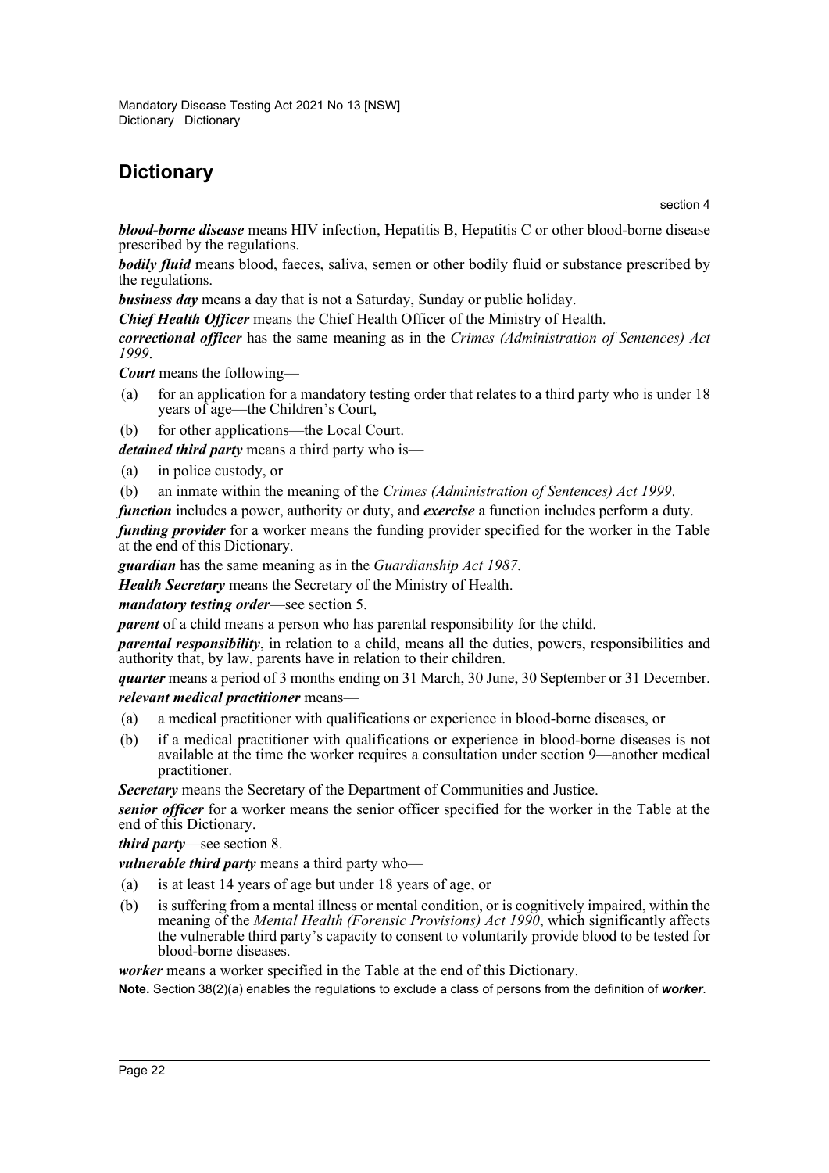# <span id="page-23-0"></span>**Dictionary**

section 4

*blood-borne disease* means HIV infection, Hepatitis B, Hepatitis C or other blood-borne disease prescribed by the regulations.

*bodily fluid* means blood, faeces, saliva, semen or other bodily fluid or substance prescribed by the regulations.

*business day* means a day that is not a Saturday, Sunday or public holiday.

*Chief Health Officer* means the Chief Health Officer of the Ministry of Health.

*correctional officer* has the same meaning as in the *Crimes (Administration of Sentences) Act 1999*.

*Court* means the following—

- (a) for an application for a mandatory testing order that relates to a third party who is under 18 years of age—the Children's Court,
- (b) for other applications—the Local Court.

*detained third party* means a third party who is—

- (a) in police custody, or
- (b) an inmate within the meaning of the *Crimes (Administration of Sentences) Act 1999*.
- *function* includes a power, authority or duty, and *exercise* a function includes perform a duty.

*funding provider* for a worker means the funding provider specified for the worker in the Table at the end of this Dictionary.

*guardian* has the same meaning as in the *Guardianship Act 1987*.

*Health Secretary* means the Secretary of the Ministry of Health.

#### *mandatory testing order*—see section 5.

*parent* of a child means a person who has parental responsibility for the child.

*parental responsibility*, in relation to a child, means all the duties, powers, responsibilities and authority that, by law, parents have in relation to their children.

*quarter* means a period of 3 months ending on 31 March, 30 June, 30 September or 31 December. *relevant medical practitioner* means—

- (a) a medical practitioner with qualifications or experience in blood-borne diseases, or
- (b) if a medical practitioner with qualifications or experience in blood-borne diseases is not available at the time the worker requires a consultation under section 9—another medical practitioner.

*Secretary* means the Secretary of the Department of Communities and Justice.

*senior officer* for a worker means the senior officer specified for the worker in the Table at the end of this Dictionary.

*third party*—see section 8.

*vulnerable third party* means a third party who—

- (a) is at least 14 years of age but under 18 years of age, or
- (b) is suffering from a mental illness or mental condition, or is cognitively impaired, within the meaning of the *Mental Health (Forensic Provisions) Act 1990*, which significantly affects the vulnerable third party's capacity to consent to voluntarily provide blood to be tested for blood-borne diseases.

*worker* means a worker specified in the Table at the end of this Dictionary.

**Note.** Section 38(2)(a) enables the regulations to exclude a class of persons from the definition of *worker*.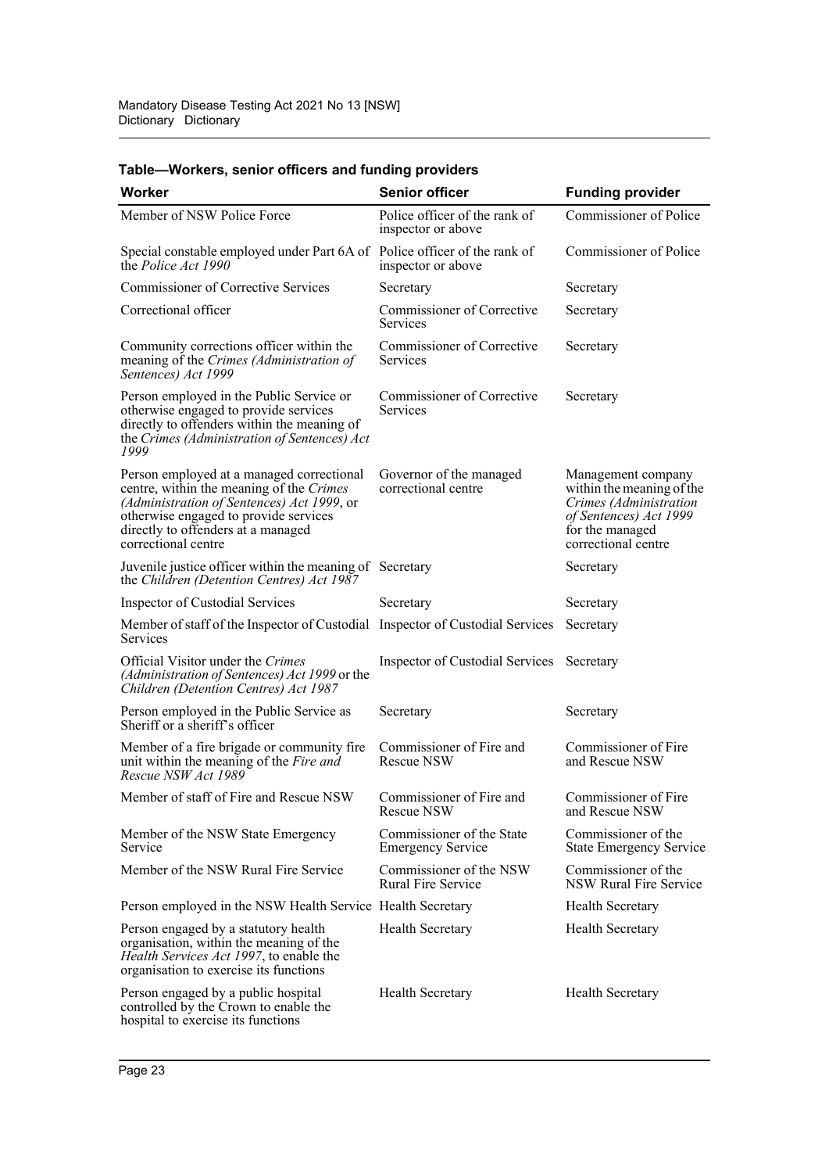| Worker                                                                                                                                                                                                                                    | <b>Senior officer</b>                                 | <b>Funding provider</b>                                                                                                                       |
|-------------------------------------------------------------------------------------------------------------------------------------------------------------------------------------------------------------------------------------------|-------------------------------------------------------|-----------------------------------------------------------------------------------------------------------------------------------------------|
| Member of NSW Police Force                                                                                                                                                                                                                | Police officer of the rank of<br>inspector or above   | Commissioner of Police                                                                                                                        |
| Special constable employed under Part 6A of Police officer of the rank of<br>the <i>Police Act 1990</i>                                                                                                                                   | inspector or above                                    | Commissioner of Police                                                                                                                        |
| <b>Commissioner of Corrective Services</b>                                                                                                                                                                                                | Secretary                                             | Secretary                                                                                                                                     |
| Correctional officer                                                                                                                                                                                                                      | Commissioner of Corrective<br><b>Services</b>         | Secretary                                                                                                                                     |
| Community corrections officer within the<br>meaning of the Crimes (Administration of<br>Sentences) Act 1999                                                                                                                               | Commissioner of Corrective<br><b>Services</b>         | Secretary                                                                                                                                     |
| Person employed in the Public Service or<br>otherwise engaged to provide services<br>directly to offenders within the meaning of<br>the Crimes (Administration of Sentences) Act<br>1999                                                  | Commissioner of Corrective<br>Services                | Secretary                                                                                                                                     |
| Person employed at a managed correctional<br>centre, within the meaning of the Crimes<br>(Administration of Sentences) Act 1999, or<br>otherwise engaged to provide services<br>directly to offenders at a managed<br>correctional centre | Governor of the managed<br>correctional centre        | Management company<br>within the meaning of the<br>Crimes (Administration<br>of Sentences) Act 1999<br>for the managed<br>correctional centre |
| Juvenile justice officer within the meaning of Secretary<br>the Children (Detention Centres) Act 1987                                                                                                                                     |                                                       | Secretary                                                                                                                                     |
| Inspector of Custodial Services                                                                                                                                                                                                           | Secretary                                             | Secretary                                                                                                                                     |
| Member of staff of the Inspector of Custodial Inspector of Custodial Services<br>Services                                                                                                                                                 |                                                       | Secretary                                                                                                                                     |
| Official Visitor under the Crimes<br>(Administration of Sentences) Act 1999 or the<br>Children (Detention Centres) Act 1987                                                                                                               | Inspector of Custodial Services                       | Secretary                                                                                                                                     |
| Person employed in the Public Service as<br>Sheriff or a sheriff's officer                                                                                                                                                                | Secretary                                             | Secretary                                                                                                                                     |
| Member of a fire brigade or community fire<br>unit within the meaning of the Fire and<br>Rescue NSW Act 1989                                                                                                                              | Commissioner of Fire and<br><b>Rescue NSW</b>         | Commissioner of Fire<br>and Rescue NSW                                                                                                        |
| Member of staff of Fire and Rescue NSW                                                                                                                                                                                                    | Commissioner of Fire and<br>Rescue NSW                | Commissioner of Fire<br>and Rescue NSW                                                                                                        |
| Member of the NSW State Emergency<br>Service                                                                                                                                                                                              | Commissioner of the State<br><b>Emergency Service</b> | Commissioner of the<br><b>State Emergency Service</b>                                                                                         |
| Member of the NSW Rural Fire Service                                                                                                                                                                                                      | Commissioner of the NSW<br>Rural Fire Service         | Commissioner of the<br>NSW Rural Fire Service                                                                                                 |
| Person employed in the NSW Health Service Health Secretary                                                                                                                                                                                |                                                       | <b>Health Secretary</b>                                                                                                                       |
| Person engaged by a statutory health<br>organisation, within the meaning of the<br>Health Services Act 1997, to enable the<br>organisation to exercise its functions                                                                      | <b>Health Secretary</b>                               | <b>Health Secretary</b>                                                                                                                       |
| Person engaged by a public hospital<br>controlled by the Crown to enable the<br>hospital to exercise its functions                                                                                                                        | <b>Health Secretary</b>                               | <b>Health Secretary</b>                                                                                                                       |

### **Table—Workers, senior officers and funding providers**